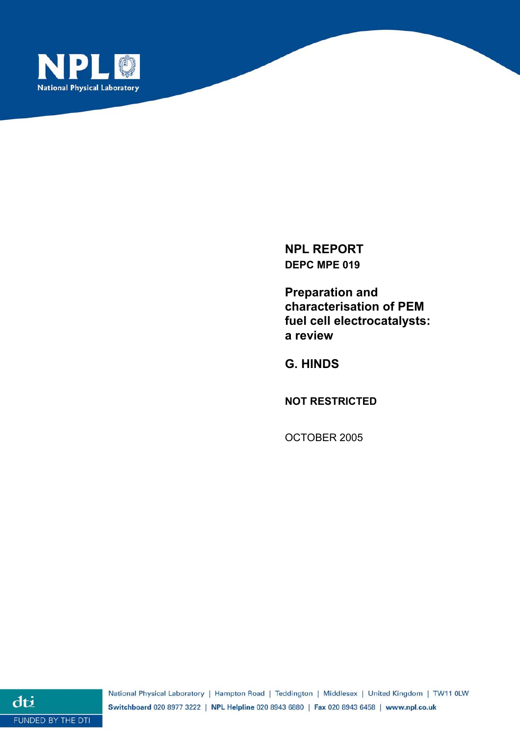

**NPL REPORT DEPC MPE 019** 

**Preparation and characterisation of PEM fuel cell electrocatalysts: a review** 

**G. HINDS** 

**NOT RESTRICTED** 

OCTOBER 2005

dti FUNDED BY THE DTI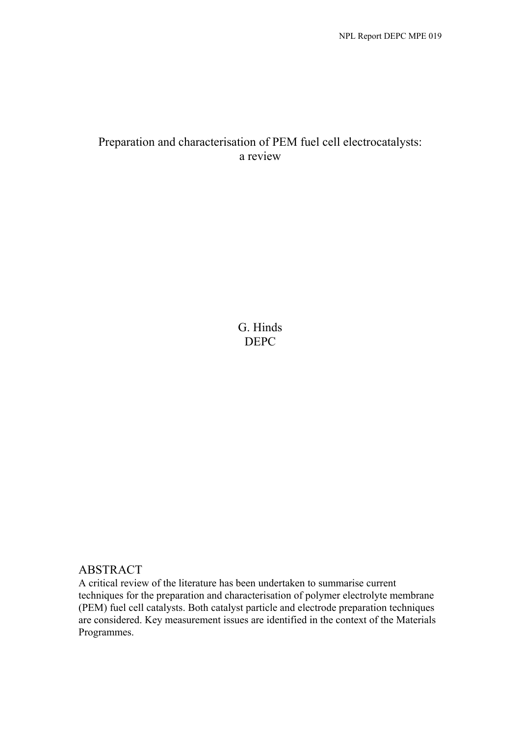# Preparation and characterisation of PEM fuel cell electrocatalysts: a review

G. Hinds DEPC

# ABSTRACT

A critical review of the literature has been undertaken to summarise current techniques for the preparation and characterisation of polymer electrolyte membrane (PEM) fuel cell catalysts. Both catalyst particle and electrode preparation techniques are considered. Key measurement issues are identified in the context of the Materials Programmes.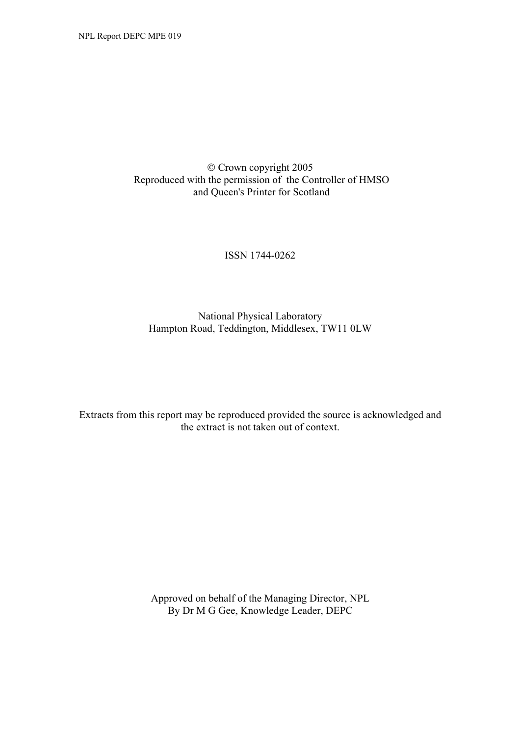# Crown copyright 2005 Reproduced with the permission of the Controller of HMSO and Queen's Printer for Scotland

### ISSN 1744-0262

# National Physical Laboratory Hampton Road, Teddington, Middlesex, TW11 0LW

Extracts from this report may be reproduced provided the source is acknowledged and the extract is not taken out of context.

> Approved on behalf of the Managing Director, NPL By Dr M G Gee, Knowledge Leader, DEPC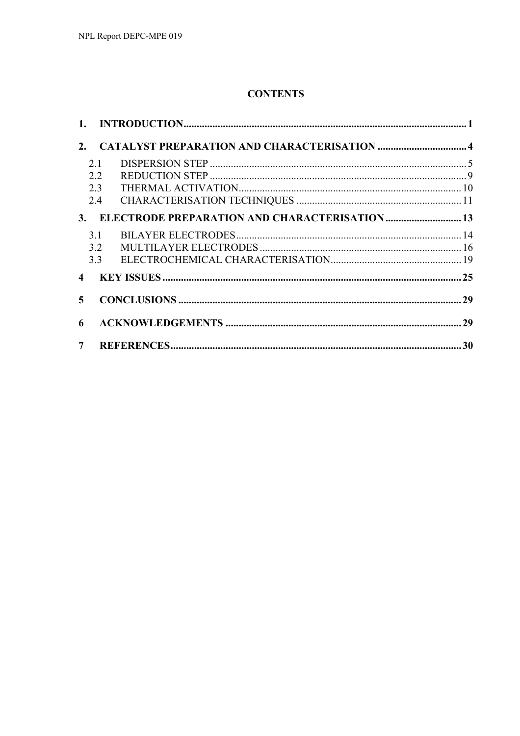# **CONTENTS**

|                |                | 2. CATALYST PREPARATION AND CHARACTERISATION  4  |  |
|----------------|----------------|--------------------------------------------------|--|
|                | 2.1            |                                                  |  |
|                | 2.2            |                                                  |  |
|                | 2.3            |                                                  |  |
|                | 2.4            |                                                  |  |
|                |                | 3. ELECTRODE PREPARATION AND CHARACTERISATION 13 |  |
|                | 3.1            |                                                  |  |
|                | 3.2            |                                                  |  |
|                | 3.3            |                                                  |  |
|                | $\overline{4}$ |                                                  |  |
|                | 5 <sup>5</sup> |                                                  |  |
| 6              |                |                                                  |  |
| 7 <sup>7</sup> |                |                                                  |  |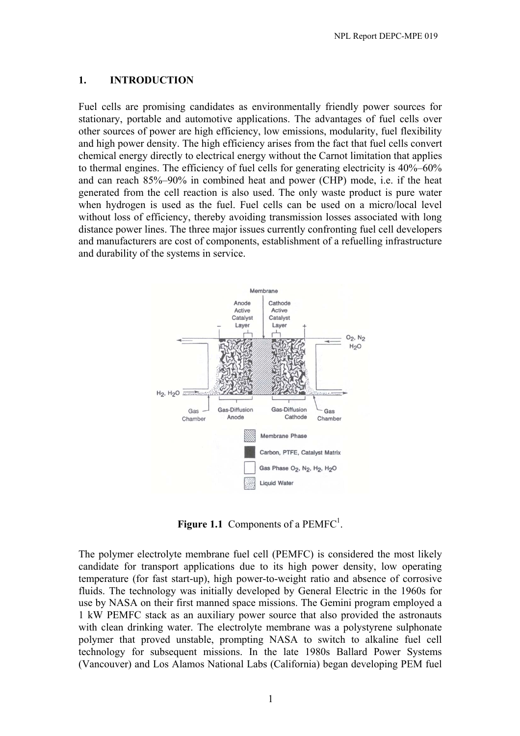## **1. INTRODUCTION**

Fuel cells are promising candidates as environmentally friendly power sources for stationary, portable and automotive applications. The advantages of fuel cells over other sources of power are high efficiency, low emissions, modularity, fuel flexibility and high power density. The high efficiency arises from the fact that fuel cells convert chemical energy directly to electrical energy without the Carnot limitation that applies to thermal engines. The efficiency of fuel cells for generating electricity is 40%–60% and can reach 85%–90% in combined heat and power (CHP) mode, i.e. if the heat generated from the cell reaction is also used. The only waste product is pure water when hydrogen is used as the fuel. Fuel cells can be used on a micro/local level without loss of efficiency, thereby avoiding transmission losses associated with long distance power lines. The three major issues currently confronting fuel cell developers and manufacturers are cost of components, establishment of a refuelling infrastructure and durability of the systems in service.



**Figure 1.1** Components of a  $PEMFC<sup>1</sup>$ .

The polymer electrolyte membrane fuel cell (PEMFC) is considered the most likely candidate for transport applications due to its high power density, low operating temperature (for fast start-up), high power-to-weight ratio and absence of corrosive fluids. The technology was initially developed by General Electric in the 1960s for use by NASA on their first manned space missions. The Gemini program employed a 1 kW PEMFC stack as an auxiliary power source that also provided the astronauts with clean drinking water. The electrolyte membrane was a polystyrene sulphonate polymer that proved unstable, prompting NASA to switch to alkaline fuel cell technology for subsequent missions. In the late 1980s Ballard Power Systems (Vancouver) and Los Alamos National Labs (California) began developing PEM fuel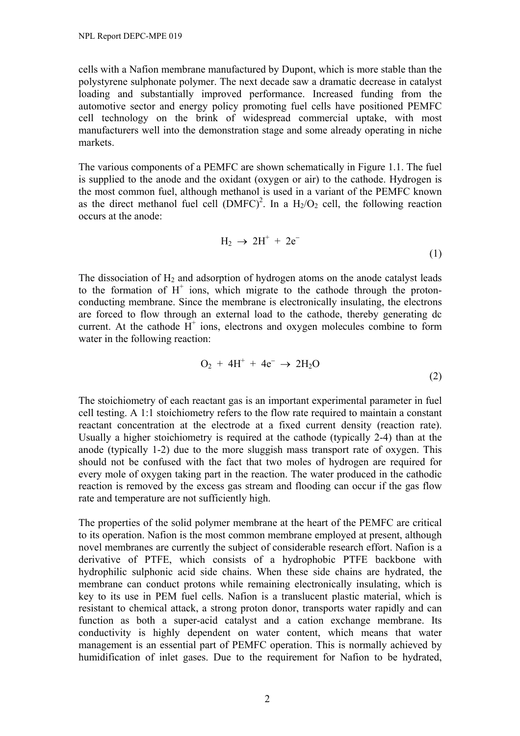cells with a Nafion membrane manufactured by Dupont, which is more stable than the polystyrene sulphonate polymer. The next decade saw a dramatic decrease in catalyst loading and substantially improved performance. Increased funding from the automotive sector and energy policy promoting fuel cells have positioned PEMFC cell technology on the brink of widespread commercial uptake, with most manufacturers well into the demonstration stage and some already operating in niche markets.

The various components of a PEMFC are shown schematically in Figure 1.1. The fuel is supplied to the anode and the oxidant (oxygen or air) to the cathode. Hydrogen is the most common fuel, although methanol is used in a variant of the PEMFC known as the direct methanol fuel cell  $(DMFC)^2$ . In a  $H_2/O_2$  cell, the following reaction occurs at the anode:

$$
H_2 \rightarrow 2H^+ + 2e^- \tag{1}
$$

The dissociation of  $H_2$  and adsorption of hydrogen atoms on the anode catalyst leads to the formation of  $H^+$  ions, which migrate to the cathode through the protonconducting membrane. Since the membrane is electronically insulating, the electrons are forced to flow through an external load to the cathode, thereby generating dc current. At the cathode  $H^+$  ions, electrons and oxygen molecules combine to form water in the following reaction:

$$
O_2 + 4H^+ + 4e^- \rightarrow 2H_2O
$$
 (2)

The stoichiometry of each reactant gas is an important experimental parameter in fuel cell testing. A 1:1 stoichiometry refers to the flow rate required to maintain a constant reactant concentration at the electrode at a fixed current density (reaction rate). Usually a higher stoichiometry is required at the cathode (typically 2-4) than at the anode (typically 1-2) due to the more sluggish mass transport rate of oxygen. This should not be confused with the fact that two moles of hydrogen are required for every mole of oxygen taking part in the reaction. The water produced in the cathodic reaction is removed by the excess gas stream and flooding can occur if the gas flow rate and temperature are not sufficiently high.

The properties of the solid polymer membrane at the heart of the PEMFC are critical to its operation. Nafion is the most common membrane employed at present, although novel membranes are currently the subject of considerable research effort. Nafion is a derivative of PTFE, which consists of a hydrophobic PTFE backbone with hydrophilic sulphonic acid side chains. When these side chains are hydrated, the membrane can conduct protons while remaining electronically insulating, which is key to its use in PEM fuel cells. Nafion is a translucent plastic material, which is resistant to chemical attack, a strong proton donor, transports water rapidly and can function as both a super-acid catalyst and a cation exchange membrane. Its conductivity is highly dependent on water content, which means that water management is an essential part of PEMFC operation. This is normally achieved by humidification of inlet gases. Due to the requirement for Nafion to be hydrated,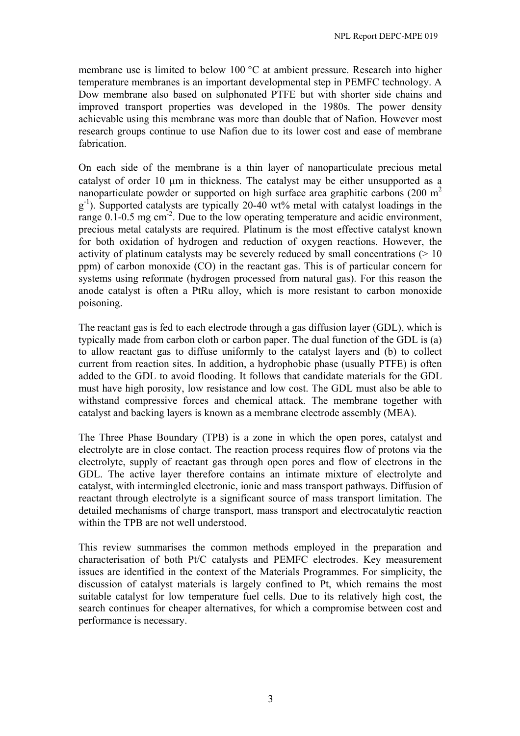membrane use is limited to below 100 °C at ambient pressure. Research into higher temperature membranes is an important developmental step in PEMFC technology. A Dow membrane also based on sulphonated PTFE but with shorter side chains and improved transport properties was developed in the 1980s. The power density achievable using this membrane was more than double that of Nafion. However most research groups continue to use Nafion due to its lower cost and ease of membrane fabrication.

On each side of the membrane is a thin layer of nanoparticulate precious metal catalyst of order 10 µm in thickness. The catalyst may be either unsupported as a nanoparticulate powder or supported on high surface area graphitic carbons (200  $m<sup>2</sup>$  $g^{-1}$ ). Supported catalysts are typically 20-40 wt% metal with catalyst loadings in the range 0.1-0.5 mg cm<sup>-2</sup>. Due to the low operating temperature and acidic environment, precious metal catalysts are required. Platinum is the most effective catalyst known for both oxidation of hydrogen and reduction of oxygen reactions. However, the activity of platinum catalysts may be severely reduced by small concentrations  $(> 10$ ppm) of carbon monoxide (CO) in the reactant gas. This is of particular concern for systems using reformate (hydrogen processed from natural gas). For this reason the anode catalyst is often a PtRu alloy, which is more resistant to carbon monoxide poisoning.

The reactant gas is fed to each electrode through a gas diffusion layer (GDL), which is typically made from carbon cloth or carbon paper. The dual function of the GDL is (a) to allow reactant gas to diffuse uniformly to the catalyst layers and (b) to collect current from reaction sites. In addition, a hydrophobic phase (usually PTFE) is often added to the GDL to avoid flooding. It follows that candidate materials for the GDL must have high porosity, low resistance and low cost. The GDL must also be able to withstand compressive forces and chemical attack. The membrane together with catalyst and backing layers is known as a membrane electrode assembly (MEA).

The Three Phase Boundary (TPB) is a zone in which the open pores, catalyst and electrolyte are in close contact. The reaction process requires flow of protons via the electrolyte, supply of reactant gas through open pores and flow of electrons in the GDL. The active layer therefore contains an intimate mixture of electrolyte and catalyst, with intermingled electronic, ionic and mass transport pathways. Diffusion of reactant through electrolyte is a significant source of mass transport limitation. The detailed mechanisms of charge transport, mass transport and electrocatalytic reaction within the TPB are not well understood.

This review summarises the common methods employed in the preparation and characterisation of both Pt/C catalysts and PEMFC electrodes. Key measurement issues are identified in the context of the Materials Programmes. For simplicity, the discussion of catalyst materials is largely confined to Pt, which remains the most suitable catalyst for low temperature fuel cells. Due to its relatively high cost, the search continues for cheaper alternatives, for which a compromise between cost and performance is necessary.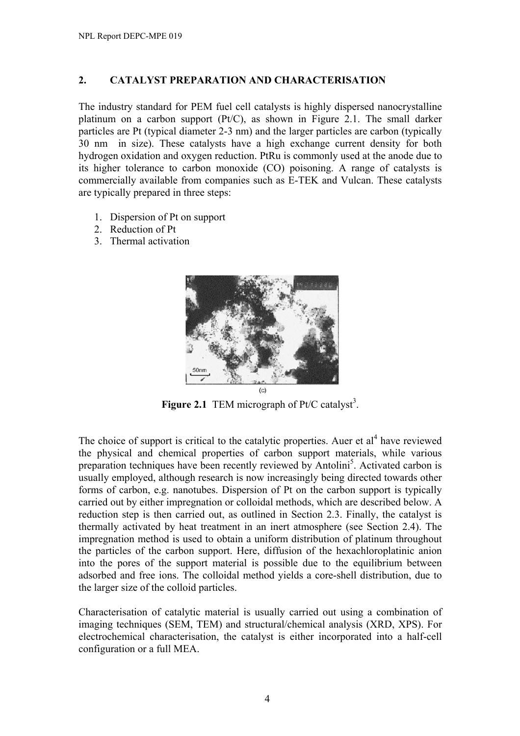# **2. CATALYST PREPARATION AND CHARACTERISATION**

The industry standard for PEM fuel cell catalysts is highly dispersed nanocrystalline platinum on a carbon support (Pt/C), as shown in Figure 2.1. The small darker particles are Pt (typical diameter 2-3 nm) and the larger particles are carbon (typically 30 nm in size). These catalysts have a high exchange current density for both hydrogen oxidation and oxygen reduction. PtRu is commonly used at the anode due to its higher tolerance to carbon monoxide (CO) poisoning. A range of catalysts is commercially available from companies such as E-TEK and Vulcan. These catalysts are typically prepared in three steps:

- 1. Dispersion of Pt on support
- 2. Reduction of Pt
- 3. Thermal activation



**Figure 2.1** TEM micrograph of Pt/C catalyst<sup>3</sup>.

The choice of support is critical to the catalytic properties. Auer et  $al<sup>4</sup>$  have reviewed the physical and chemical properties of carbon support materials, while various preparation techniques have been recently reviewed by Antolini<sup>5</sup>. Activated carbon is usually employed, although research is now increasingly being directed towards other forms of carbon, e.g. nanotubes. Dispersion of Pt on the carbon support is typically carried out by either impregnation or colloidal methods, which are described below. A reduction step is then carried out, as outlined in Section 2.3. Finally, the catalyst is thermally activated by heat treatment in an inert atmosphere (see Section 2.4). The impregnation method is used to obtain a uniform distribution of platinum throughout the particles of the carbon support. Here, diffusion of the hexachloroplatinic anion into the pores of the support material is possible due to the equilibrium between adsorbed and free ions. The colloidal method yields a core-shell distribution, due to the larger size of the colloid particles.

Characterisation of catalytic material is usually carried out using a combination of imaging techniques (SEM, TEM) and structural/chemical analysis (XRD, XPS). For electrochemical characterisation, the catalyst is either incorporated into a half-cell configuration or a full MEA.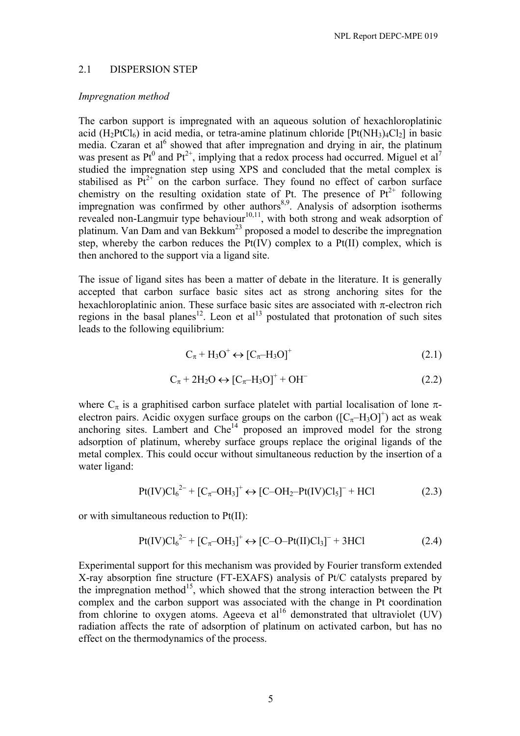#### 2.1 DISPERSION STEP

#### *Impregnation method*

The carbon support is impregnated with an aqueous solution of hexachloroplatinic acid  $(H_2PtCl_6)$  in acid media, or tetra-amine platinum chloride  $[Pt(NH_3)_4Cl_2]$  in basic media. Czaran et al<sup>6</sup> showed that after impregnation and drying in air, the platinum was present as Pt<sup>0</sup> and Pt<sup>2+</sup>, implying that a redox process had occurred. Miguel et al<sup>7</sup> studied the impregnation step using XPS and concluded that the metal complex is stabilised as  $Pt^{2+}$  on the carbon surface. They found no effect of carbon surface chemistry on the resulting oxidation state of Pt. The presence of  $Pt^{2+}$  following impregnation was confirmed by other authors<sup>8,9</sup>. Analysis of adsorption isotherms revealed non-Langmuir type behaviour $10,11$ , with both strong and weak adsorption of platinum. Van Dam and van Bekkum<sup>23</sup> proposed a model to describe the impregnation step, whereby the carbon reduces the  $Pt(IV)$  complex to a  $Pt(II)$  complex, which is then anchored to the support via a ligand site.

The issue of ligand sites has been a matter of debate in the literature. It is generally accepted that carbon surface basic sites act as strong anchoring sites for the hexachloroplatinic anion. These surface basic sites are associated with  $\pi$ -electron rich regions in the basal planes<sup>12</sup>. Leon et al<sup>13</sup> postulated that protonation of such sites leads to the following equilibrium:

$$
C_{\pi} + H_3O^+ \leftrightarrow [C_{\pi} - H_3O]^+
$$
 (2.1)

$$
C_{\pi} + 2H_2O \leftrightarrow [C_{\pi} - H_3O]^+ + OH^-
$$
 (2.2)

where  $C_{\pi}$  is a graphitised carbon surface platelet with partial localisation of lone  $\pi$ electron pairs. Acidic oxygen surface groups on the carbon  $([C_{\pi}-H_3O]^+)$  act as weak anchoring sites. Lambert and  $\text{Che}^{14}$  proposed an improved model for the strong adsorption of platinum, whereby surface groups replace the original ligands of the metal complex. This could occur without simultaneous reduction by the insertion of a water ligand:

$$
Pt(IV)Cl62- + [Cπ-OH3]+ \leftrightarrow [C-OH2-Pt(IV)Cl5]- + HCl
$$
 (2.3)

or with simultaneous reduction to Pt(II):

$$
Pt(IV)Cl62- + [Cπ-OH3]+ \leftrightarrow [C-O-Pt(II)Cl3]- + 3HC1
$$
 (2.4)

Experimental support for this mechanism was provided by Fourier transform extended X-ray absorption fine structure (FT-EXAFS) analysis of Pt/C catalysts prepared by the impregnation method<sup>15</sup>, which showed that the strong interaction between the Pt complex and the carbon support was associated with the change in Pt coordination from chlorine to oxygen atoms. Ageeva et al<sup>16</sup> demonstrated that ultraviolet (UV) radiation affects the rate of adsorption of platinum on activated carbon, but has no effect on the thermodynamics of the process.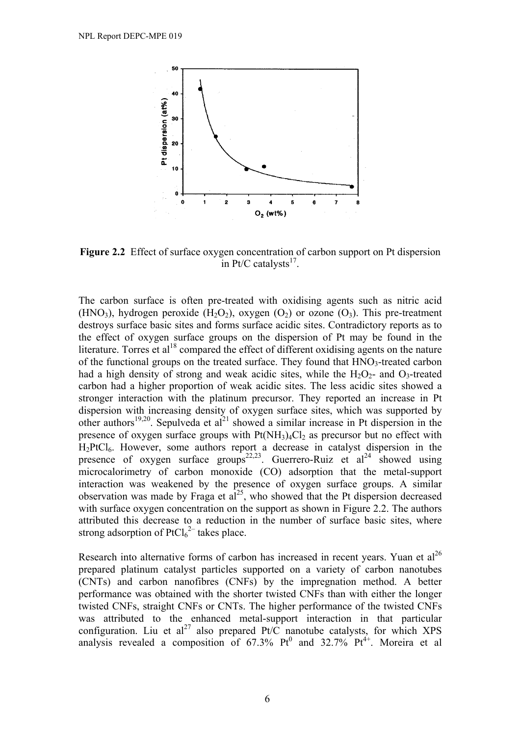

**Figure 2.2** Effect of surface oxygen concentration of carbon support on Pt dispersion in Pt/C catalysts $^{17}$ .

The carbon surface is often pre-treated with oxidising agents such as nitric acid (HNO<sub>3</sub>), hydrogen peroxide (H<sub>2</sub>O<sub>2</sub>), oxygen (O<sub>2</sub>) or ozone (O<sub>3</sub>). This pre-treatment destroys surface basic sites and forms surface acidic sites. Contradictory reports as to the effect of oxygen surface groups on the dispersion of Pt may be found in the literature. Torres et al<sup>18</sup> compared the effect of different oxidising agents on the nature of the functional groups on the treated surface. They found that  $HNO<sub>3</sub>$ -treated carbon had a high density of strong and weak acidic sites, while the  $H_2O_2$ - and  $O_3$ -treated carbon had a higher proportion of weak acidic sites. The less acidic sites showed a stronger interaction with the platinum precursor. They reported an increase in Pt dispersion with increasing density of oxygen surface sites, which was supported by other authors<sup>19,20</sup>. Sepulveda et al<sup>21</sup> showed a similar increase in Pt dispersion in the presence of oxygen surface groups with  $Pt(NH<sub>3</sub>)<sub>4</sub>Cl<sub>2</sub>$  as precursor but no effect with H<sub>2</sub>PtCl<sub>6</sub>. However, some authors report a decrease in catalyst dispersion in the presence of oxygen surface groups<sup>22,23</sup>. Guerrero-Ruiz et al<sup>24</sup> showed using microcalorimetry of carbon monoxide (CO) adsorption that the metal-support interaction was weakened by the presence of oxygen surface groups. A similar observation was made by Fraga et  $a^{25}$ , who showed that the Pt dispersion decreased with surface oxygen concentration on the support as shown in Figure 2.2. The authors attributed this decrease to a reduction in the number of surface basic sites, where strong adsorption of  $PtCl_6^2$  takes place.

Research into alternative forms of carbon has increased in recent years. Yuan et  $al^{26}$ prepared platinum catalyst particles supported on a variety of carbon nanotubes (CNTs) and carbon nanofibres (CNFs) by the impregnation method. A better performance was obtained with the shorter twisted CNFs than with either the longer twisted CNFs, straight CNFs or CNTs. The higher performance of the twisted CNFs was attributed to the enhanced metal-support interaction in that particular configuration. Liu et al<sup>27</sup> also prepared Pt/C nanotube catalysts, for which XPS analysis revealed a composition of  $67.3\%$  Pt<sup>0</sup> and  $32.7\%$  Pt<sup>4+</sup>. Moreira et al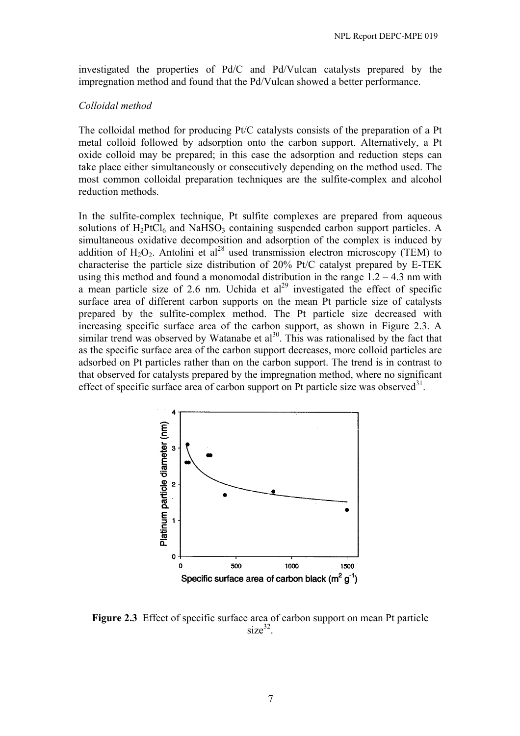investigated the properties of Pd/C and Pd/Vulcan catalysts prepared by the impregnation method and found that the Pd/Vulcan showed a better performance.

#### *Colloidal method*

The colloidal method for producing Pt/C catalysts consists of the preparation of a Pt metal colloid followed by adsorption onto the carbon support. Alternatively, a Pt oxide colloid may be prepared; in this case the adsorption and reduction steps can take place either simultaneously or consecutively depending on the method used. The most common colloidal preparation techniques are the sulfite-complex and alcohol reduction methods.

In the sulfite-complex technique, Pt sulfite complexes are prepared from aqueous solutions of H<sub>2</sub>PtCl<sub>6</sub> and NaHSO<sub>3</sub> containing suspended carbon support particles. A simultaneous oxidative decomposition and adsorption of the complex is induced by addition of  $H_2O_2$ . Antolini et al<sup>28</sup> used transmission electron microscopy (TEM) to characterise the particle size distribution of 20% Pt/C catalyst prepared by E-TEK using this method and found a monomodal distribution in the range  $1.2 - 4.3$  nm with a mean particle size of 2.6 nm. Uchida et  $al^{29}$  investigated the effect of specific surface area of different carbon supports on the mean Pt particle size of catalysts prepared by the sulfite-complex method. The Pt particle size decreased with increasing specific surface area of the carbon support, as shown in Figure 2.3. A similar trend was observed by Watanabe et  $al<sup>30</sup>$ . This was rationalised by the fact that as the specific surface area of the carbon support decreases, more colloid particles are adsorbed on Pt particles rather than on the carbon support. The trend is in contrast to that observed for catalysts prepared by the impregnation method, where no significant effect of specific surface area of carbon support on Pt particle size was observed $31$ .



**Figure 2.3** Effect of specific surface area of carbon support on mean Pt particle  $size^{32}$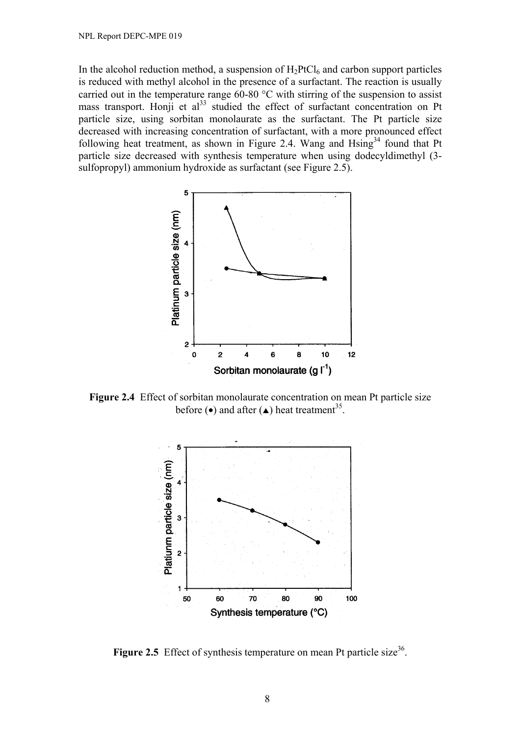In the alcohol reduction method, a suspension of  $H_2PtCl_6$  and carbon support particles is reduced with methyl alcohol in the presence of a surfactant. The reaction is usually carried out in the temperature range 60-80 °C with stirring of the suspension to assist mass transport. Honji et  $al^{33}$  studied the effect of surfactant concentration on Pt particle size, using sorbitan monolaurate as the surfactant. The Pt particle size decreased with increasing concentration of surfactant, with a more pronounced effect following heat treatment, as shown in Figure 2.4. Wang and  $\text{Hsing}^{34}$  found that Pt particle size decreased with synthesis temperature when using dodecyldimethyl (3 sulfopropyl) ammonium hydroxide as surfactant (see Figure 2.5).



**Figure 2.4** Effect of sorbitan monolaurate concentration on mean Pt particle size before  $\left(\bullet\right)$  and after  $\left(\bullet\right)$  heat treatment<sup>35</sup>.



**Figure 2.5** Effect of synthesis temperature on mean Pt particle size<sup>36</sup>.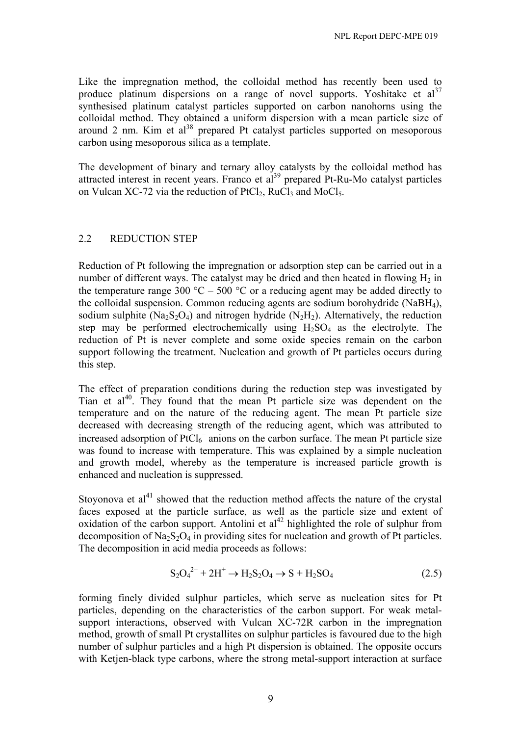Like the impregnation method, the colloidal method has recently been used to produce platinum dispersions on a range of novel supports. Yoshitake et  $al^{37}$ synthesised platinum catalyst particles supported on carbon nanohorns using the colloidal method. They obtained a uniform dispersion with a mean particle size of around 2 nm. Kim et  $al^{38}$  prepared Pt catalyst particles supported on mesoporous carbon using mesoporous silica as a template.

The development of binary and ternary alloy catalysts by the colloidal method has attracted interest in recent years. Franco et  $al<sup>39</sup>$  prepared Pt-Ru-Mo catalyst particles on Vulcan XC-72 via the reduction of  $PtCl_2$ , RuCl<sub>3</sub> and MoCl<sub>5</sub>.

#### 2.2 REDUCTION STEP

Reduction of Pt following the impregnation or adsorption step can be carried out in a number of different ways. The catalyst may be dried and then heated in flowing  $H_2$  in the temperature range 300  $^{\circ}$ C – 500  $^{\circ}$ C or a reducing agent may be added directly to the colloidal suspension. Common reducing agents are sodium borohydride (NaBH4), sodium sulphite ( $Na<sub>2</sub>S<sub>2</sub>O<sub>4</sub>$ ) and nitrogen hydride ( $N<sub>2</sub>H<sub>2</sub>$ ). Alternatively, the reduction step may be performed electrochemically using  $H_2SO_4$  as the electrolyte. The reduction of Pt is never complete and some oxide species remain on the carbon support following the treatment. Nucleation and growth of Pt particles occurs during this step.

The effect of preparation conditions during the reduction step was investigated by Tian et al<sup>40</sup>. They found that the mean Pt particle size was dependent on the temperature and on the nature of the reducing agent. The mean Pt particle size decreased with decreasing strength of the reducing agent, which was attributed to increased adsorption of  $PtCl<sub>6</sub><sup>-</sup>$  anions on the carbon surface. The mean Pt particle size was found to increase with temperature. This was explained by a simple nucleation and growth model, whereby as the temperature is increased particle growth is enhanced and nucleation is suppressed.

Stoyonova et  $al<sup>41</sup>$  showed that the reduction method affects the nature of the crystal faces exposed at the particle surface, as well as the particle size and extent of oxidation of the carbon support. Antolini et  $al<sup>42</sup>$  highlighted the role of sulphur from decomposition of  $Na<sub>2</sub>S<sub>2</sub>O<sub>4</sub>$  in providing sites for nucleation and growth of Pt particles. The decomposition in acid media proceeds as follows:

$$
S_2O_4^{2-} + 2H^+ \to H_2S_2O_4 \to S + H_2SO_4 \tag{2.5}
$$

forming finely divided sulphur particles, which serve as nucleation sites for Pt particles, depending on the characteristics of the carbon support. For weak metalsupport interactions, observed with Vulcan XC-72R carbon in the impregnation method, growth of small Pt crystallites on sulphur particles is favoured due to the high number of sulphur particles and a high Pt dispersion is obtained. The opposite occurs with Ketjen-black type carbons, where the strong metal-support interaction at surface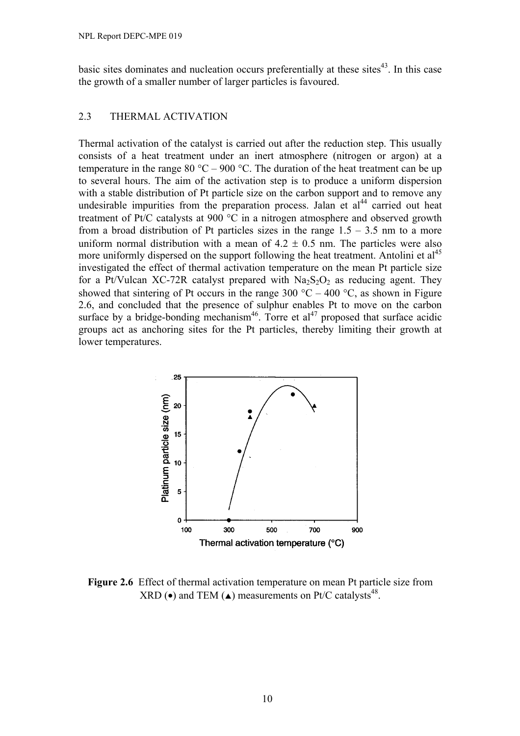basic sites dominates and nucleation occurs preferentially at these sites $43$ . In this case the growth of a smaller number of larger particles is favoured.

#### 2.3 THERMAL ACTIVATION

Thermal activation of the catalyst is carried out after the reduction step. This usually consists of a heat treatment under an inert atmosphere (nitrogen or argon) at a temperature in the range 80 °C – 900 °C. The duration of the heat treatment can be up to several hours. The aim of the activation step is to produce a uniform dispersion with a stable distribution of Pt particle size on the carbon support and to remove any undesirable impurities from the preparation process. Jalan et  $al<sup>44</sup>$  carried out heat treatment of Pt/C catalysts at 900 °C in a nitrogen atmosphere and observed growth from a broad distribution of Pt particles sizes in the range  $1.5 - 3.5$  nm to a more uniform normal distribution with a mean of  $4.2 \pm 0.5$  nm. The particles were also more uniformly dispersed on the support following the heat treatment. Antolini et  $al<sup>45</sup>$ investigated the effect of thermal activation temperature on the mean Pt particle size for a Pt/Vulcan XC-72R catalyst prepared with  $Na<sub>2</sub>S<sub>2</sub>O<sub>2</sub>$  as reducing agent. They showed that sintering of Pt occurs in the range 300  $^{\circ}$ C – 400  $^{\circ}$ C, as shown in Figure 2.6, and concluded that the presence of sulphur enables Pt to move on the carbon surface by a bridge-bonding mechanism<sup>46</sup>. Torre et al<sup>47</sup> proposed that surface acidic groups act as anchoring sites for the Pt particles, thereby limiting their growth at lower temperatures.



**Figure 2.6** Effect of thermal activation temperature on mean Pt particle size from XRD ( $\bullet$ ) and TEM ( $\triangle$ ) measurements on Pt/C catalysts<sup>48</sup>.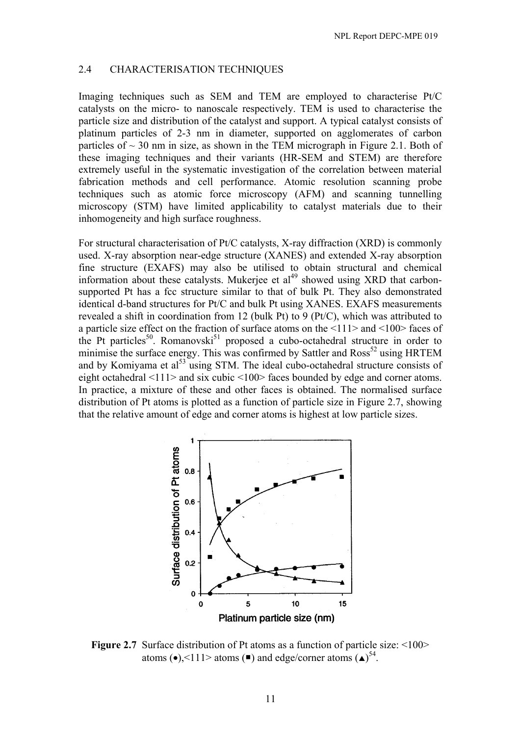#### 2.4 CHARACTERISATION TECHNIQUES

Imaging techniques such as SEM and TEM are employed to characterise Pt/C catalysts on the micro- to nanoscale respectively. TEM is used to characterise the particle size and distribution of the catalyst and support. A typical catalyst consists of platinum particles of 2-3 nm in diameter, supported on agglomerates of carbon particles of  $\sim$  30 nm in size, as shown in the TEM micrograph in Figure 2.1. Both of these imaging techniques and their variants (HR-SEM and STEM) are therefore extremely useful in the systematic investigation of the correlation between material fabrication methods and cell performance. Atomic resolution scanning probe techniques such as atomic force microscopy (AFM) and scanning tunnelling microscopy (STM) have limited applicability to catalyst materials due to their inhomogeneity and high surface roughness.

For structural characterisation of Pt/C catalysts, X-ray diffraction (XRD) is commonly used. X-ray absorption near-edge structure (XANES) and extended X-ray absorption fine structure (EXAFS) may also be utilised to obtain structural and chemical information about these catalysts. Mukerjee et  $al<sup>49</sup>$  showed using XRD that carbonsupported Pt has a fcc structure similar to that of bulk Pt. They also demonstrated identical d-band structures for Pt/C and bulk Pt using XANES. EXAFS measurements revealed a shift in coordination from 12 (bulk Pt) to 9 (Pt/C), which was attributed to a particle size effect on the fraction of surface atoms on the <111> and <100> faces of the Pt particles<sup>50</sup>. Romanovski<sup>51</sup> proposed a cubo-octahedral structure in order to minimise the surface energy. This was confirmed by Sattler and  $Ross<sup>52</sup>$  using HRTEM and by Komiyama et al<sup>53</sup> using STM. The ideal cubo-octahedral structure consists of eight octahedral <111> and six cubic <100> faces bounded by edge and corner atoms. In practice, a mixture of these and other faces is obtained. The normalised surface distribution of Pt atoms is plotted as a function of particle size in Figure 2.7, showing that the relative amount of edge and corner atoms is highest at low particle sizes.



**Figure 2.7** Surface distribution of Pt atoms as a function of particle size: <100> atoms (•), <111> atoms (■) and edge/corner atoms (▲)<sup>54</sup>.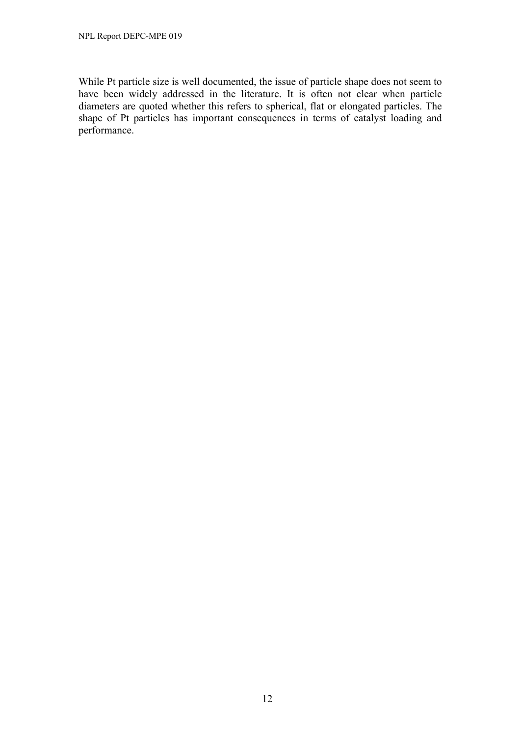While Pt particle size is well documented, the issue of particle shape does not seem to have been widely addressed in the literature. It is often not clear when particle diameters are quoted whether this refers to spherical, flat or elongated particles. The shape of Pt particles has important consequences in terms of catalyst loading and performance.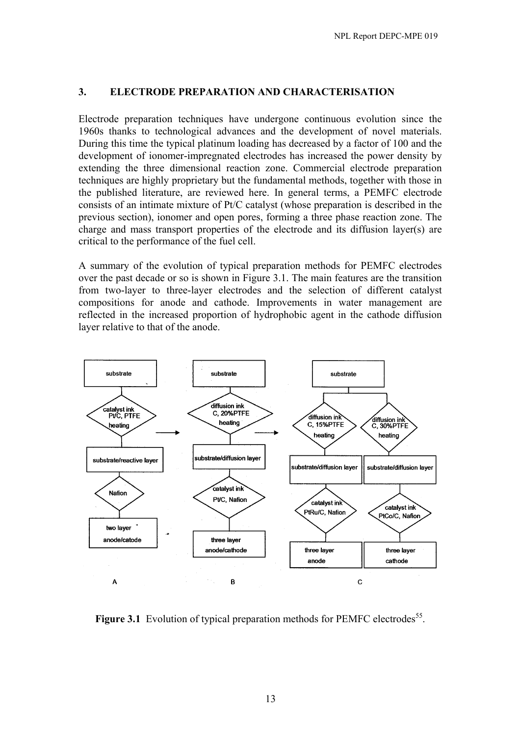### **3. ELECTRODE PREPARATION AND CHARACTERISATION**

Electrode preparation techniques have undergone continuous evolution since the 1960s thanks to technological advances and the development of novel materials. During this time the typical platinum loading has decreased by a factor of 100 and the development of ionomer-impregnated electrodes has increased the power density by extending the three dimensional reaction zone. Commercial electrode preparation techniques are highly proprietary but the fundamental methods, together with those in the published literature, are reviewed here. In general terms, a PEMFC electrode consists of an intimate mixture of Pt/C catalyst (whose preparation is described in the previous section), ionomer and open pores, forming a three phase reaction zone. The charge and mass transport properties of the electrode and its diffusion layer(s) are critical to the performance of the fuel cell.

A summary of the evolution of typical preparation methods for PEMFC electrodes over the past decade or so is shown in Figure 3.1. The main features are the transition from two-layer to three-layer electrodes and the selection of different catalyst compositions for anode and cathode. Improvements in water management are reflected in the increased proportion of hydrophobic agent in the cathode diffusion layer relative to that of the anode.



Figure 3.1 Evolution of typical preparation methods for PEMFC electrodes<sup>55</sup>.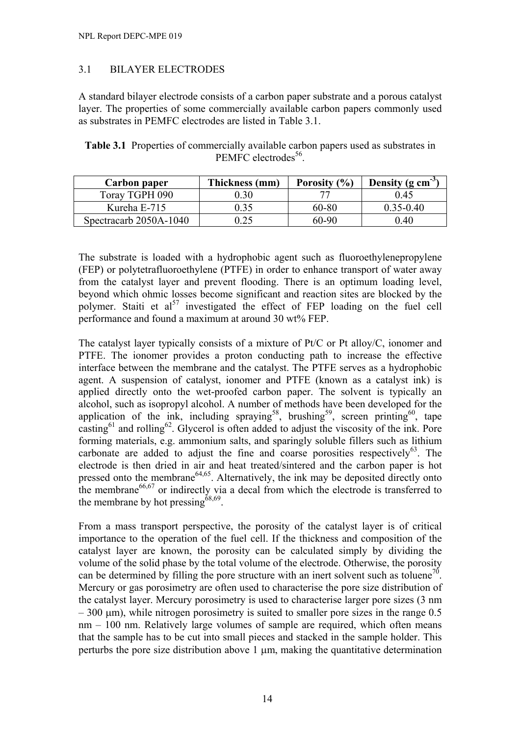# 3.1 BILAYER ELECTRODES

A standard bilayer electrode consists of a carbon paper substrate and a porous catalyst layer. The properties of some commercially available carbon papers commonly used as substrates in PEMFC electrodes are listed in Table 3.1.

| <b>Table 3.1</b> Properties of commercially available carbon papers used as substrates in |
|-------------------------------------------------------------------------------------------|
| PEMFC electrodes <sup>56</sup> .                                                          |

| Carbon paper           | Thickness (mm)    | Porosity (%) | Density ( $g \text{ cm}^{-3}$ ) |
|------------------------|-------------------|--------------|---------------------------------|
| Toray TGPH 090         | 0.30 <sub>1</sub> |              | 0.45                            |
| Kureha E-715           | 0.35              | 60-80        | $0.35 - 0.40$                   |
| Spectracarb 2050A-1040 | ).25              | 60-90        | $0.40\,$                        |

The substrate is loaded with a hydrophobic agent such as fluoroethylenepropylene (FEP) or polytetrafluoroethylene (PTFE) in order to enhance transport of water away from the catalyst layer and prevent flooding. There is an optimum loading level, beyond which ohmic losses become significant and reaction sites are blocked by the polymer. Staiti et al<sup>57</sup> investigated the effect of FEP loading on the fuel cell performance and found a maximum at around 30 wt% FEP.

The catalyst layer typically consists of a mixture of Pt/C or Pt alloy/C, ionomer and PTFE. The ionomer provides a proton conducting path to increase the effective interface between the membrane and the catalyst. The PTFE serves as a hydrophobic agent. A suspension of catalyst, ionomer and PTFE (known as a catalyst ink) is applied directly onto the wet-proofed carbon paper. The solvent is typically an alcohol, such as isopropyl alcohol. A number of methods have been developed for the application of the ink, including spraying<sup>58</sup>, brushing<sup>59</sup>, screen printing<sup>60</sup>, tape casting<sup>61</sup> and rolling<sup>62</sup>. Glycerol is often added to adjust the viscosity of the ink. Pore forming materials, e.g. ammonium salts, and sparingly soluble fillers such as lithium carbonate are added to adjust the fine and coarse porosities respectively<sup>63</sup>. The electrode is then dried in air and heat treated/sintered and the carbon paper is hot pressed onto the membrane<sup>64,65</sup>. Alternatively, the ink may be deposited directly onto the membrane $66,67$  or indirectly via a decal from which the electrode is transferred to the membrane by hot pressing  $68,69$ .

From a mass transport perspective, the porosity of the catalyst layer is of critical importance to the operation of the fuel cell. If the thickness and composition of the catalyst layer are known, the porosity can be calculated simply by dividing the volume of the solid phase by the total volume of the electrode. Otherwise, the porosity can be determined by filling the pore structure with an inert solvent such as toluene<sup>70</sup>. Mercury or gas porosimetry are often used to characterise the pore size distribution of the catalyst layer. Mercury porosimetry is used to characterise larger pore sizes (3 nm  $-300$  µm), while nitrogen porosimetry is suited to smaller pore sizes in the range 0.5 nm – 100 nm. Relatively large volumes of sample are required, which often means that the sample has to be cut into small pieces and stacked in the sample holder. This perturbs the pore size distribution above 1 µm, making the quantitative determination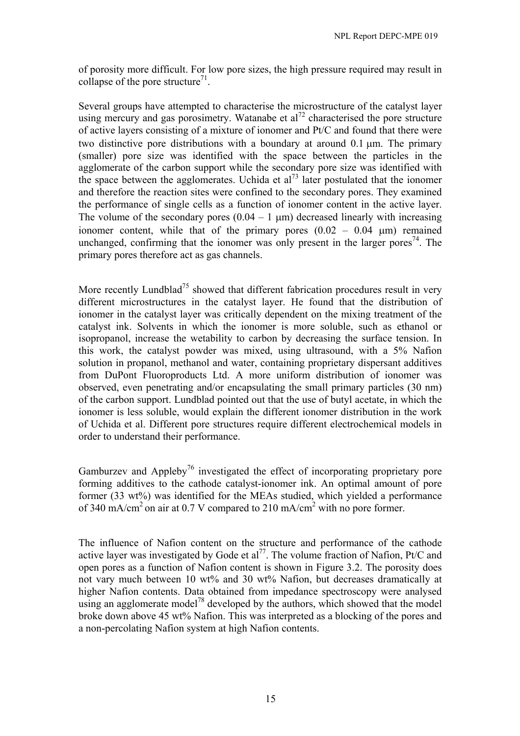of porosity more difficult. For low pore sizes, the high pressure required may result in collapse of the pore structure<sup>71</sup>.

Several groups have attempted to characterise the microstructure of the catalyst layer using mercury and gas porosimetry. Watanabe et  $al^{72}$  characterised the pore structure of active layers consisting of a mixture of ionomer and Pt/C and found that there were two distinctive pore distributions with a boundary at around 0.1 µm. The primary (smaller) pore size was identified with the space between the particles in the agglomerate of the carbon support while the secondary pore size was identified with the space between the agglomerates. Uchida et al<sup>73</sup> later postulated that the ionomer and therefore the reaction sites were confined to the secondary pores. They examined the performance of single cells as a function of ionomer content in the active layer. The volume of the secondary pores  $(0.04 - 1 \text{ }\mu\text{m})$  decreased linearly with increasing ionomer content, while that of the primary pores  $(0.02 - 0.04 \mu m)$  remained unchanged, confirming that the ionomer was only present in the larger pores<sup>74</sup>. The primary pores therefore act as gas channels.

More recently Lundblad<sup>75</sup> showed that different fabrication procedures result in very different microstructures in the catalyst layer. He found that the distribution of ionomer in the catalyst layer was critically dependent on the mixing treatment of the catalyst ink. Solvents in which the ionomer is more soluble, such as ethanol or isopropanol, increase the wetability to carbon by decreasing the surface tension. In this work, the catalyst powder was mixed, using ultrasound, with a 5% Nafion solution in propanol, methanol and water, containing proprietary dispersant additives from DuPont Fluoroproducts Ltd. A more uniform distribution of ionomer was observed, even penetrating and/or encapsulating the small primary particles (30 nm) of the carbon support. Lundblad pointed out that the use of butyl acetate, in which the ionomer is less soluble, would explain the different ionomer distribution in the work of Uchida et al. Different pore structures require different electrochemical models in order to understand their performance.

Gamburzev and Appleby<sup>76</sup> investigated the effect of incorporating proprietary pore forming additives to the cathode catalyst-ionomer ink. An optimal amount of pore former (33 wt%) was identified for the MEAs studied, which yielded a performance of 340 mA/cm<sup>2</sup> on air at 0.7 V compared to 210 mA/cm<sup>2</sup> with no pore former.

The influence of Nafion content on the structure and performance of the cathode active layer was investigated by Gode et al<sup>77</sup>. The volume fraction of Nafion, Pt/C and open pores as a function of Nafion content is shown in Figure 3.2. The porosity does not vary much between 10 wt% and 30 wt% Nafion, but decreases dramatically at higher Nafion contents. Data obtained from impedance spectroscopy were analysed using an agglomerate model<sup>78</sup> developed by the authors, which showed that the model broke down above 45 wt% Nafion. This was interpreted as a blocking of the pores and a non-percolating Nafion system at high Nafion contents.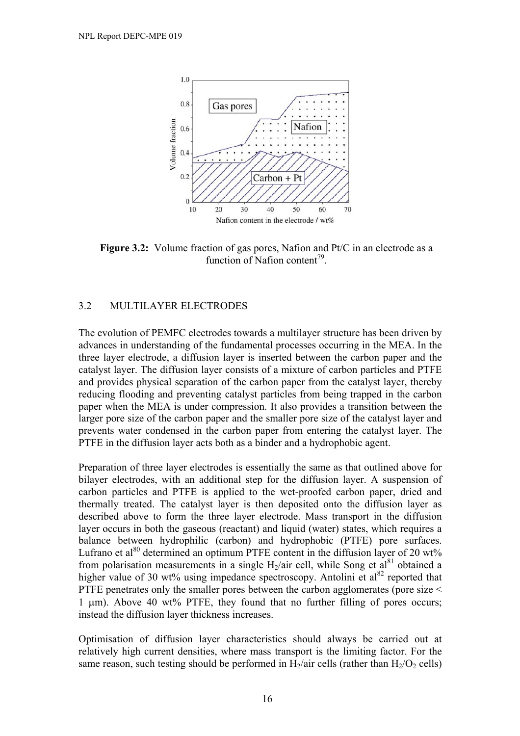

**Figure 3.2:** Volume fraction of gas pores, Nafion and Pt/C in an electrode as a function of Nafion content<sup>79</sup>.

### 3.2 MULTILAYER ELECTRODES

The evolution of PEMFC electrodes towards a multilayer structure has been driven by advances in understanding of the fundamental processes occurring in the MEA. In the three layer electrode, a diffusion layer is inserted between the carbon paper and the catalyst layer. The diffusion layer consists of a mixture of carbon particles and PTFE and provides physical separation of the carbon paper from the catalyst layer, thereby reducing flooding and preventing catalyst particles from being trapped in the carbon paper when the MEA is under compression. It also provides a transition between the larger pore size of the carbon paper and the smaller pore size of the catalyst layer and prevents water condensed in the carbon paper from entering the catalyst layer. The PTFE in the diffusion layer acts both as a binder and a hydrophobic agent.

Preparation of three layer electrodes is essentially the same as that outlined above for bilayer electrodes, with an additional step for the diffusion layer. A suspension of carbon particles and PTFE is applied to the wet-proofed carbon paper, dried and thermally treated. The catalyst layer is then deposited onto the diffusion layer as described above to form the three layer electrode. Mass transport in the diffusion layer occurs in both the gaseous (reactant) and liquid (water) states, which requires a balance between hydrophilic (carbon) and hydrophobic (PTFE) pore surfaces. Lufrano et al<sup>80</sup> determined an optimum PTFE content in the diffusion layer of 20 wt% from polarisation measurements in a single  $H_2$ /air cell, while Song et al<sup>81</sup> obtained a higher value of 30 wt% using impedance spectroscopy. Antolini et  $al^{82}$  reported that PTFE penetrates only the smaller pores between the carbon agglomerates (pore size < 1 µm). Above 40 wt% PTFE, they found that no further filling of pores occurs; instead the diffusion layer thickness increases.

Optimisation of diffusion layer characteristics should always be carried out at relatively high current densities, where mass transport is the limiting factor. For the same reason, such testing should be performed in  $H_2$ /air cells (rather than  $H_2/O_2$  cells)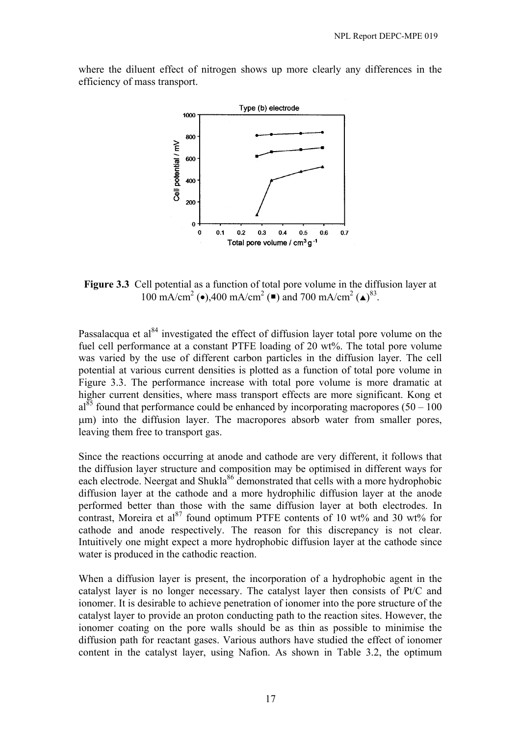

where the diluent effect of nitrogen shows up more clearly any differences in the efficiency of mass transport.

**Figure 3.3** Cell potential as a function of total pore volume in the diffusion layer at 100 mA/cm<sup>2</sup> ( $\bullet$ ),400 mA/cm<sup>2</sup> ( $\bullet$ ) and 700 mA/cm<sup>2</sup> ( $\bullet$ )<sup>83</sup>.

Passalacqua et al<sup>84</sup> investigated the effect of diffusion layer total pore volume on the fuel cell performance at a constant PTFE loading of 20 wt%. The total pore volume was varied by the use of different carbon particles in the diffusion layer. The cell potential at various current densities is plotted as a function of total pore volume in Figure 3.3. The performance increase with total pore volume is more dramatic at higher current densities, where mass transport effects are more significant. Kong et  $a^{85}$  found that performance could be enhanced by incorporating macropores (50 – 100) µm) into the diffusion layer. The macropores absorb water from smaller pores, leaving them free to transport gas.

Since the reactions occurring at anode and cathode are very different, it follows that the diffusion layer structure and composition may be optimised in different ways for each electrode. Neergat and Shukla<sup>86</sup> demonstrated that cells with a more hydrophobic diffusion layer at the cathode and a more hydrophilic diffusion layer at the anode performed better than those with the same diffusion layer at both electrodes. In contrast, Moreira et al<sup>87</sup> found optimum PTFE contents of 10 wt% and 30 wt% for cathode and anode respectively. The reason for this discrepancy is not clear. Intuitively one might expect a more hydrophobic diffusion layer at the cathode since water is produced in the cathodic reaction.

When a diffusion layer is present, the incorporation of a hydrophobic agent in the catalyst layer is no longer necessary. The catalyst layer then consists of Pt/C and ionomer. It is desirable to achieve penetration of ionomer into the pore structure of the catalyst layer to provide an proton conducting path to the reaction sites. However, the ionomer coating on the pore walls should be as thin as possible to minimise the diffusion path for reactant gases. Various authors have studied the effect of ionomer content in the catalyst layer, using Nafion. As shown in Table 3.2, the optimum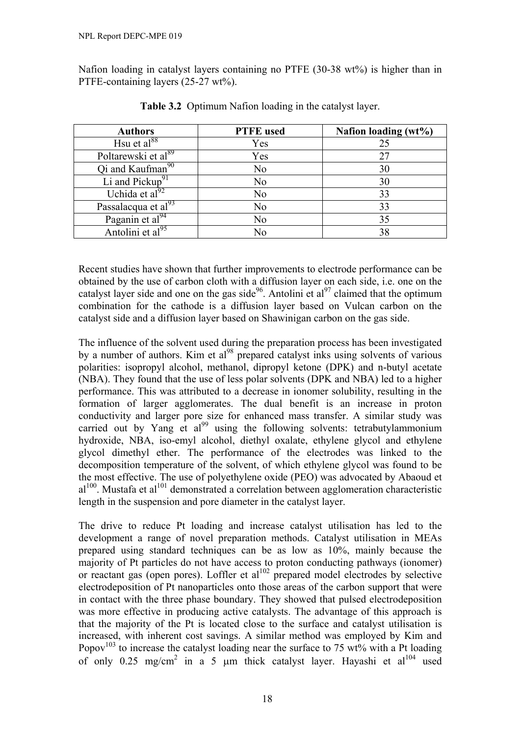Nafion loading in catalyst layers containing no PTFE (30-38 wt%) is higher than in PTFE-containing layers (25-27 wt%).

| <b>Authors</b>                  | <b>PTFE</b> used | Nafion loading (wt%) |
|---------------------------------|------------------|----------------------|
| Hsu et $al^{88}$                | Yes              | 25                   |
| Poltarewski et al <sup>89</sup> | Yes              | 27                   |
| Qi and Kaufman <sup>90</sup>    | N <sub>0</sub>   | 30                   |
| Li and Pickup <sup>91</sup>     | No               | 30                   |
| Uchida et al $^{92}$            | No               | 33                   |
| Passalacqua et al <sup>93</sup> | N <sub>0</sub>   | 33                   |
| Paganin et al $^{94}$           | No               | 35                   |
| Antolini et al <sup>95</sup>    | N٥               | 38                   |

**Table 3.2** Optimum Nafion loading in the catalyst layer.

Recent studies have shown that further improvements to electrode performance can be obtained by the use of carbon cloth with a diffusion layer on each side, i.e. one on the catalyst layer side and one on the gas side<sup>96</sup>. Antolini et al<sup>97</sup> claimed that the optimum combination for the cathode is a diffusion layer based on Vulcan carbon on the catalyst side and a diffusion layer based on Shawinigan carbon on the gas side.

The influence of the solvent used during the preparation process has been investigated by a number of authors. Kim et  $al^{98}$  prepared catalyst inks using solvents of various polarities: isopropyl alcohol, methanol, dipropyl ketone (DPK) and n-butyl acetate (NBA). They found that the use of less polar solvents (DPK and NBA) led to a higher performance. This was attributed to a decrease in ionomer solubility, resulting in the formation of larger agglomerates. The dual benefit is an increase in proton conductivity and larger pore size for enhanced mass transfer. A similar study was carried out by Yang et al<sup>99</sup> using the following solvents: tetrabutylammonium hydroxide, NBA, iso-emyl alcohol, diethyl oxalate, ethylene glycol and ethylene glycol dimethyl ether. The performance of the electrodes was linked to the decomposition temperature of the solvent, of which ethylene glycol was found to be the most effective. The use of polyethylene oxide (PEO) was advocated by Abaoud et  $al<sup>100</sup>$ . Mustafa et al<sup>101</sup> demonstrated a correlation between agglomeration characteristic length in the suspension and pore diameter in the catalyst layer.

The drive to reduce Pt loading and increase catalyst utilisation has led to the development a range of novel preparation methods. Catalyst utilisation in MEAs prepared using standard techniques can be as low as 10%, mainly because the majority of Pt particles do not have access to proton conducting pathways (ionomer) or reactant gas (open pores). Loffler et al<sup>102</sup> prepared model electrodes by selective electrodeposition of Pt nanoparticles onto those areas of the carbon support that were in contact with the three phase boundary. They showed that pulsed electrodeposition was more effective in producing active catalysts. The advantage of this approach is that the majority of the Pt is located close to the surface and catalyst utilisation is increased, with inherent cost savings. A similar method was employed by Kim and Popov<sup>103</sup> to increase the catalyst loading near the surface to 75 wt% with a Pt loading of only 0.25 mg/cm<sup>2</sup> in a 5  $\mu$ m thick catalyst layer. Hayashi et al<sup>104</sup> used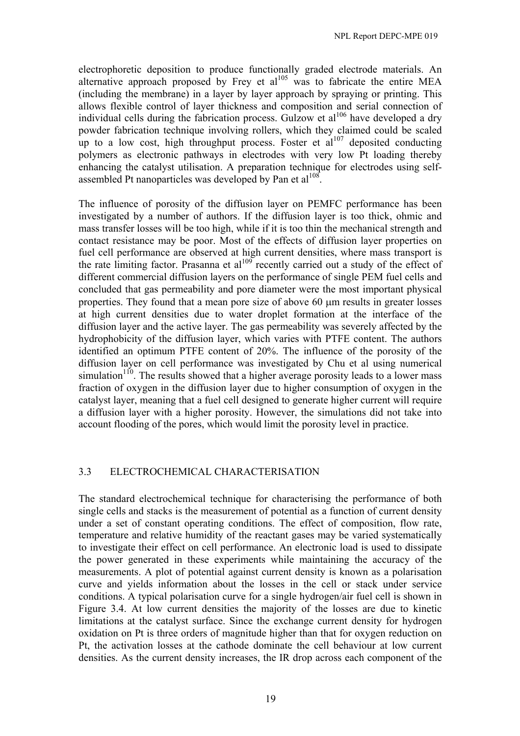electrophoretic deposition to produce functionally graded electrode materials. An alternative approach proposed by Frey et al<sup>105</sup> was to fabricate the entire MEA (including the membrane) in a layer by layer approach by spraying or printing. This allows flexible control of layer thickness and composition and serial connection of individual cells during the fabrication process. Gulzow et  $al^{106}$  have developed a dry powder fabrication technique involving rollers, which they claimed could be scaled up to a low cost, high throughput process. Foster et  $al^{107}$  deposited conducting polymers as electronic pathways in electrodes with very low Pt loading thereby enhancing the catalyst utilisation. A preparation technique for electrodes using selfassembled Pt nanoparticles was developed by Pan et  $a^{108}$ .

The influence of porosity of the diffusion layer on PEMFC performance has been investigated by a number of authors. If the diffusion layer is too thick, ohmic and mass transfer losses will be too high, while if it is too thin the mechanical strength and contact resistance may be poor. Most of the effects of diffusion layer properties on fuel cell performance are observed at high current densities, where mass transport is the rate limiting factor. Prasanna et al<sup>109</sup> recently carried out a study of the effect of different commercial diffusion layers on the performance of single PEM fuel cells and concluded that gas permeability and pore diameter were the most important physical properties. They found that a mean pore size of above 60 µm results in greater losses at high current densities due to water droplet formation at the interface of the diffusion layer and the active layer. The gas permeability was severely affected by the hydrophobicity of the diffusion layer, which varies with PTFE content. The authors identified an optimum PTFE content of 20%. The influence of the porosity of the diffusion layer on cell performance was investigated by Chu et al using numerical simulation<sup>110</sup>. The results showed that a higher average porosity leads to a lower mass fraction of oxygen in the diffusion layer due to higher consumption of oxygen in the catalyst layer, meaning that a fuel cell designed to generate higher current will require a diffusion layer with a higher porosity. However, the simulations did not take into account flooding of the pores, which would limit the porosity level in practice.

### 3.3 ELECTROCHEMICAL CHARACTERISATION

The standard electrochemical technique for characterising the performance of both single cells and stacks is the measurement of potential as a function of current density under a set of constant operating conditions. The effect of composition, flow rate, temperature and relative humidity of the reactant gases may be varied systematically to investigate their effect on cell performance. An electronic load is used to dissipate the power generated in these experiments while maintaining the accuracy of the measurements. A plot of potential against current density is known as a polarisation curve and yields information about the losses in the cell or stack under service conditions. A typical polarisation curve for a single hydrogen/air fuel cell is shown in Figure 3.4. At low current densities the majority of the losses are due to kinetic limitations at the catalyst surface. Since the exchange current density for hydrogen oxidation on Pt is three orders of magnitude higher than that for oxygen reduction on Pt, the activation losses at the cathode dominate the cell behaviour at low current densities. As the current density increases, the IR drop across each component of the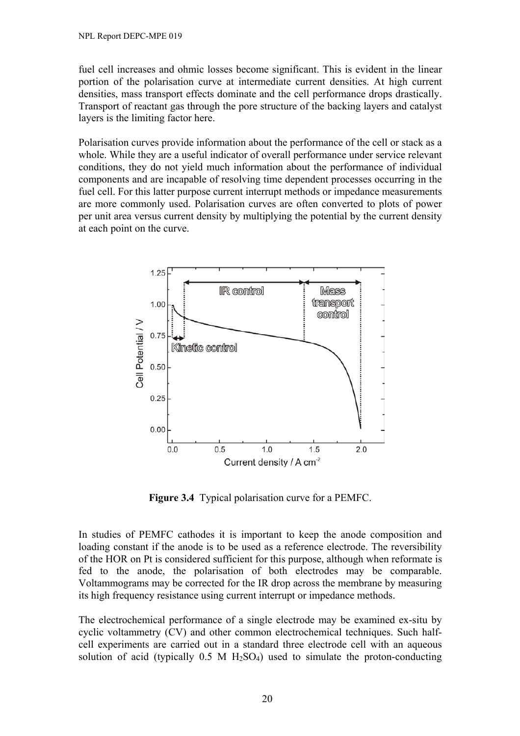fuel cell increases and ohmic losses become significant. This is evident in the linear portion of the polarisation curve at intermediate current densities. At high current densities, mass transport effects dominate and the cell performance drops drastically. Transport of reactant gas through the pore structure of the backing layers and catalyst layers is the limiting factor here.

Polarisation curves provide information about the performance of the cell or stack as a whole. While they are a useful indicator of overall performance under service relevant conditions, they do not yield much information about the performance of individual components and are incapable of resolving time dependent processes occurring in the fuel cell. For this latter purpose current interrupt methods or impedance measurements are more commonly used. Polarisation curves are often converted to plots of power per unit area versus current density by multiplying the potential by the current density at each point on the curve.



**Figure 3.4** Typical polarisation curve for a PEMFC.

In studies of PEMFC cathodes it is important to keep the anode composition and loading constant if the anode is to be used as a reference electrode. The reversibility of the HOR on Pt is considered sufficient for this purpose, although when reformate is fed to the anode, the polarisation of both electrodes may be comparable. Voltammograms may be corrected for the IR drop across the membrane by measuring its high frequency resistance using current interrupt or impedance methods.

The electrochemical performance of a single electrode may be examined ex-situ by cyclic voltammetry (CV) and other common electrochemical techniques. Such halfcell experiments are carried out in a standard three electrode cell with an aqueous solution of acid (typically  $0.5 \text{ M H}_2\text{SO}_4$ ) used to simulate the proton-conducting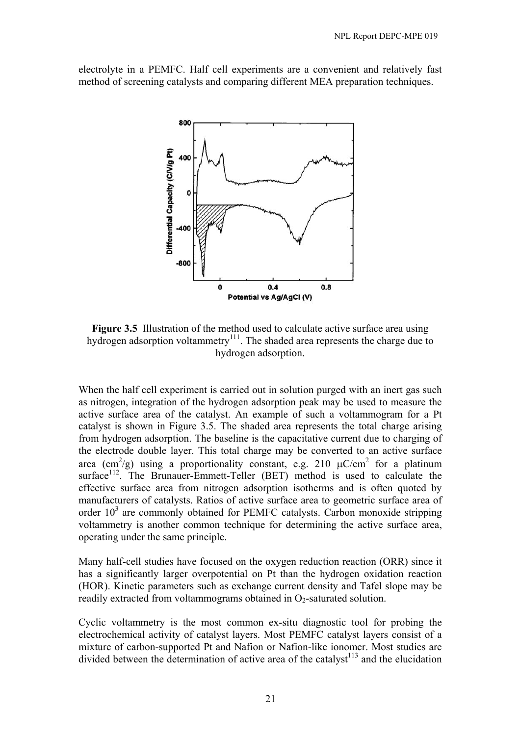electrolyte in a PEMFC. Half cell experiments are a convenient and relatively fast method of screening catalysts and comparing different MEA preparation techniques.



**Figure 3.5** Illustration of the method used to calculate active surface area using hydrogen adsorption voltammetry<sup>111</sup>. The shaded area represents the charge due to hydrogen adsorption.

When the half cell experiment is carried out in solution purged with an inert gas such as nitrogen, integration of the hydrogen adsorption peak may be used to measure the active surface area of the catalyst. An example of such a voltammogram for a Pt catalyst is shown in Figure 3.5. The shaded area represents the total charge arising from hydrogen adsorption. The baseline is the capacitative current due to charging of the electrode double layer. This total charge may be converted to an active surface area (cm<sup>2</sup>/g) using a proportionality constant, e.g. 210  $\mu$ C/cm<sup>2</sup> for a platinum surface<sup>112</sup>. The Brunauer-Emmett-Teller (BET) method is used to calculate the effective surface area from nitrogen adsorption isotherms and is often quoted by manufacturers of catalysts. Ratios of active surface area to geometric surface area of order  $10<sup>3</sup>$  are commonly obtained for PEMFC catalysts. Carbon monoxide stripping voltammetry is another common technique for determining the active surface area, operating under the same principle.

Many half-cell studies have focused on the oxygen reduction reaction (ORR) since it has a significantly larger overpotential on Pt than the hydrogen oxidation reaction (HOR). Kinetic parameters such as exchange current density and Tafel slope may be readily extracted from voltammograms obtained in  $O<sub>2</sub>$ -saturated solution.

Cyclic voltammetry is the most common ex-situ diagnostic tool for probing the electrochemical activity of catalyst layers. Most PEMFC catalyst layers consist of a mixture of carbon-supported Pt and Nafion or Nafion-like ionomer. Most studies are divided between the determination of active area of the catalyst<sup>113</sup> and the elucidation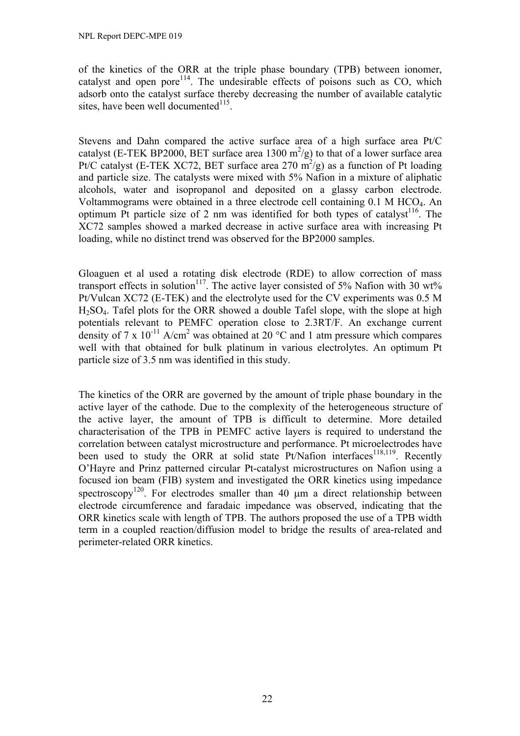of the kinetics of the ORR at the triple phase boundary (TPB) between ionomer, catalyst and open pore<sup>114</sup>. The undesirable effects of poisons such as CO, which adsorb onto the catalyst surface thereby decreasing the number of available catalytic sites, have been well documented $^{115}$ .

Stevens and Dahn compared the active surface area of a high surface area Pt/C catalyst (E-TEK BP2000, BET surface area 1300 m<sup>2</sup>/g) to that of a lower surface area Pt/C catalyst (E-TEK XC72, BET surface area 270  $\overline{m}^2$ /g) as a function of Pt loading and particle size. The catalysts were mixed with 5% Nafion in a mixture of aliphatic alcohols, water and isopropanol and deposited on a glassy carbon electrode. Voltammograms were obtained in a three electrode cell containing 0.1 M HCO4. An optimum Pt particle size of 2 nm was identified for both types of catalyst<sup>116</sup>. The XC72 samples showed a marked decrease in active surface area with increasing Pt loading, while no distinct trend was observed for the BP2000 samples.

Gloaguen et al used a rotating disk electrode (RDE) to allow correction of mass transport effects in solution<sup>117</sup>. The active layer consisted of 5% Nafion with 30 wt% Pt/Vulcan XC72 (E-TEK) and the electrolyte used for the CV experiments was 0.5 M H2SO4. Tafel plots for the ORR showed a double Tafel slope, with the slope at high potentials relevant to PEMFC operation close to 2.3RT/F. An exchange current density of 7 x  $10^{-11}$  A/cm<sup>2</sup> was obtained at 20 °C and 1 atm pressure which compares well with that obtained for bulk platinum in various electrolytes. An optimum Pt particle size of 3.5 nm was identified in this study.

The kinetics of the ORR are governed by the amount of triple phase boundary in the active layer of the cathode. Due to the complexity of the heterogeneous structure of the active layer, the amount of TPB is difficult to determine. More detailed characterisation of the TPB in PEMFC active layers is required to understand the correlation between catalyst microstructure and performance. Pt microelectrodes have been used to study the ORR at solid state  $Pt/Nafion$  interfaces<sup>118,119</sup>. Recently O'Hayre and Prinz patterned circular Pt-catalyst microstructures on Nafion using a focused ion beam (FIB) system and investigated the ORR kinetics using impedance spectroscopy<sup>120</sup>. For electrodes smaller than 40  $\mu$ m a direct relationship between electrode circumference and faradaic impedance was observed, indicating that the ORR kinetics scale with length of TPB. The authors proposed the use of a TPB width term in a coupled reaction/diffusion model to bridge the results of area-related and perimeter-related ORR kinetics.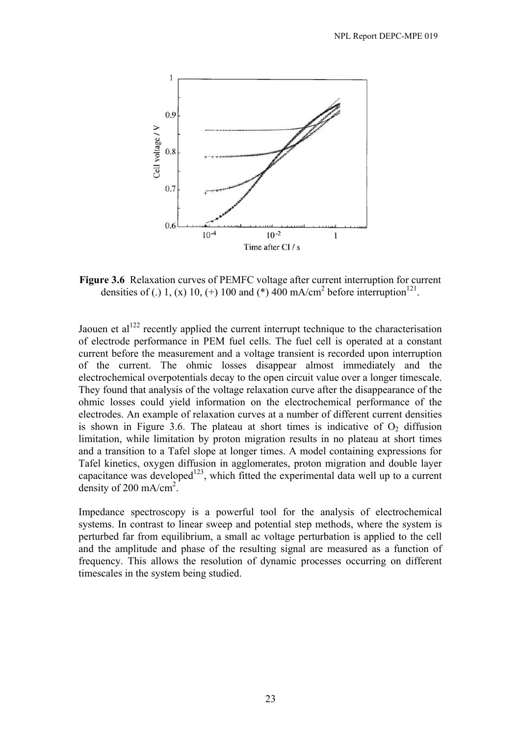

**Figure 3.6** Relaxation curves of PEMFC voltage after current interruption for current densities of (.) 1, (x) 10, (+) 100 and (\*) 400 mA/cm<sup>2</sup> before interruption<sup>121</sup>.

Jaouen et al<sup>122</sup> recently applied the current interrupt technique to the characterisation of electrode performance in PEM fuel cells. The fuel cell is operated at a constant current before the measurement and a voltage transient is recorded upon interruption of the current. The ohmic losses disappear almost immediately and the electrochemical overpotentials decay to the open circuit value over a longer timescale. They found that analysis of the voltage relaxation curve after the disappearance of the ohmic losses could yield information on the electrochemical performance of the electrodes. An example of relaxation curves at a number of different current densities is shown in Figure 3.6. The plateau at short times is indicative of  $O<sub>2</sub>$  diffusion limitation, while limitation by proton migration results in no plateau at short times and a transition to a Tafel slope at longer times. A model containing expressions for Tafel kinetics, oxygen diffusion in agglomerates, proton migration and double layer capacitance was developed<sup>123</sup>, which fitted the experimental data well up to a current density of 200 mA/cm<sup>2</sup>.

Impedance spectroscopy is a powerful tool for the analysis of electrochemical systems. In contrast to linear sweep and potential step methods, where the system is perturbed far from equilibrium, a small ac voltage perturbation is applied to the cell and the amplitude and phase of the resulting signal are measured as a function of frequency. This allows the resolution of dynamic processes occurring on different timescales in the system being studied.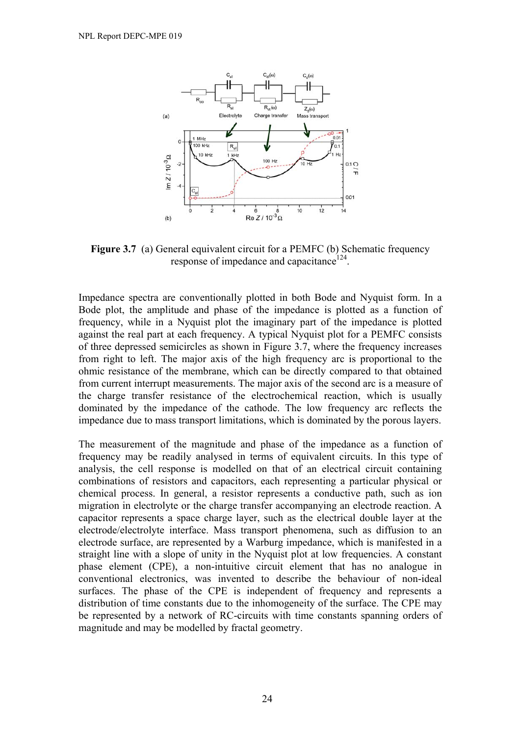

**Figure 3.7** (a) General equivalent circuit for a PEMFC (b) Schematic frequency response of impedance and capacitance<sup>124</sup>.

Impedance spectra are conventionally plotted in both Bode and Nyquist form. In a Bode plot, the amplitude and phase of the impedance is plotted as a function of frequency, while in a Nyquist plot the imaginary part of the impedance is plotted against the real part at each frequency. A typical Nyquist plot for a PEMFC consists of three depressed semicircles as shown in Figure 3.7, where the frequency increases from right to left. The major axis of the high frequency arc is proportional to the ohmic resistance of the membrane, which can be directly compared to that obtained from current interrupt measurements. The major axis of the second arc is a measure of the charge transfer resistance of the electrochemical reaction, which is usually dominated by the impedance of the cathode. The low frequency arc reflects the impedance due to mass transport limitations, which is dominated by the porous layers.

The measurement of the magnitude and phase of the impedance as a function of frequency may be readily analysed in terms of equivalent circuits. In this type of analysis, the cell response is modelled on that of an electrical circuit containing combinations of resistors and capacitors, each representing a particular physical or chemical process. In general, a resistor represents a conductive path, such as ion migration in electrolyte or the charge transfer accompanying an electrode reaction. A capacitor represents a space charge layer, such as the electrical double layer at the electrode/electrolyte interface. Mass transport phenomena, such as diffusion to an electrode surface, are represented by a Warburg impedance, which is manifested in a straight line with a slope of unity in the Nyquist plot at low frequencies. A constant phase element (CPE), a non-intuitive circuit element that has no analogue in conventional electronics, was invented to describe the behaviour of non-ideal surfaces. The phase of the CPE is independent of frequency and represents a distribution of time constants due to the inhomogeneity of the surface. The CPE may be represented by a network of RC-circuits with time constants spanning orders of magnitude and may be modelled by fractal geometry.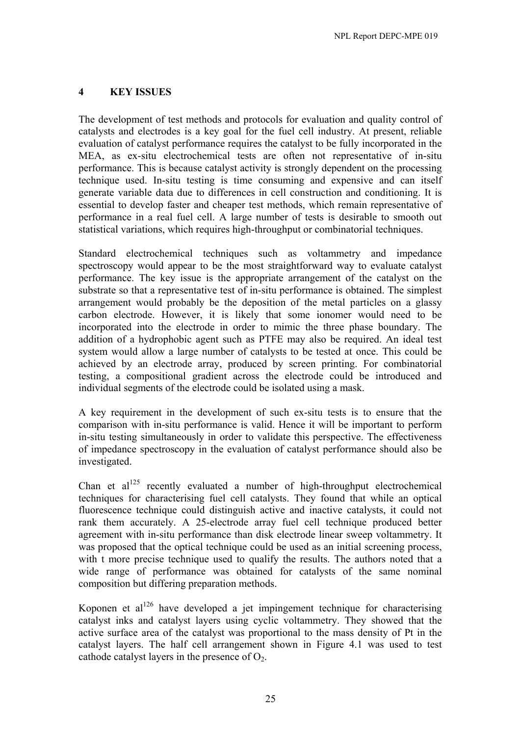# **4 KEY ISSUES**

The development of test methods and protocols for evaluation and quality control of catalysts and electrodes is a key goal for the fuel cell industry. At present, reliable evaluation of catalyst performance requires the catalyst to be fully incorporated in the MEA, as ex-situ electrochemical tests are often not representative of in-situ performance. This is because catalyst activity is strongly dependent on the processing technique used. In-situ testing is time consuming and expensive and can itself generate variable data due to differences in cell construction and conditioning. It is essential to develop faster and cheaper test methods, which remain representative of performance in a real fuel cell. A large number of tests is desirable to smooth out statistical variations, which requires high-throughput or combinatorial techniques.

Standard electrochemical techniques such as voltammetry and impedance spectroscopy would appear to be the most straightforward way to evaluate catalyst performance. The key issue is the appropriate arrangement of the catalyst on the substrate so that a representative test of in-situ performance is obtained. The simplest arrangement would probably be the deposition of the metal particles on a glassy carbon electrode. However, it is likely that some ionomer would need to be incorporated into the electrode in order to mimic the three phase boundary. The addition of a hydrophobic agent such as PTFE may also be required. An ideal test system would allow a large number of catalysts to be tested at once. This could be achieved by an electrode array, produced by screen printing. For combinatorial testing, a compositional gradient across the electrode could be introduced and individual segments of the electrode could be isolated using a mask.

A key requirement in the development of such ex-situ tests is to ensure that the comparison with in-situ performance is valid. Hence it will be important to perform in-situ testing simultaneously in order to validate this perspective. The effectiveness of impedance spectroscopy in the evaluation of catalyst performance should also be investigated.

Chan et  $al^{125}$  recently evaluated a number of high-throughput electrochemical techniques for characterising fuel cell catalysts. They found that while an optical fluorescence technique could distinguish active and inactive catalysts, it could not rank them accurately. A 25-electrode array fuel cell technique produced better agreement with in-situ performance than disk electrode linear sweep voltammetry. It was proposed that the optical technique could be used as an initial screening process, with t more precise technique used to qualify the results. The authors noted that a wide range of performance was obtained for catalysts of the same nominal composition but differing preparation methods.

Koponen et al<sup>126</sup> have developed a jet impingement technique for characterising catalyst inks and catalyst layers using cyclic voltammetry. They showed that the active surface area of the catalyst was proportional to the mass density of Pt in the catalyst layers. The half cell arrangement shown in Figure 4.1 was used to test cathode catalyst layers in the presence of  $O<sub>2</sub>$ .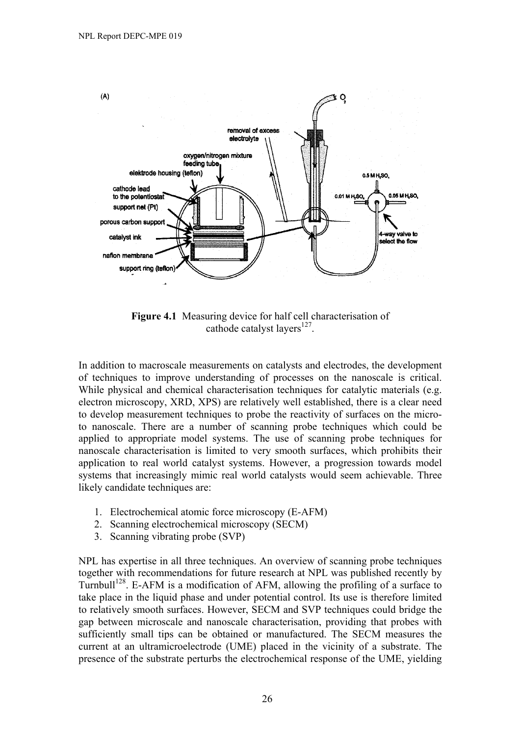

**Figure 4.1** Measuring device for half cell characterisation of cathode catalyst layers $^{127}$ .

In addition to macroscale measurements on catalysts and electrodes, the development of techniques to improve understanding of processes on the nanoscale is critical. While physical and chemical characterisation techniques for catalytic materials (e.g. electron microscopy, XRD, XPS) are relatively well established, there is a clear need to develop measurement techniques to probe the reactivity of surfaces on the microto nanoscale. There are a number of scanning probe techniques which could be applied to appropriate model systems. The use of scanning probe techniques for nanoscale characterisation is limited to very smooth surfaces, which prohibits their application to real world catalyst systems. However, a progression towards model systems that increasingly mimic real world catalysts would seem achievable. Three likely candidate techniques are:

- 1. Electrochemical atomic force microscopy (E-AFM)
- 2. Scanning electrochemical microscopy (SECM)
- 3. Scanning vibrating probe (SVP)

NPL has expertise in all three techniques. An overview of scanning probe techniques together with recommendations for future research at NPL was published recently by Turnbull<sup>128</sup>. E-AFM is a modification of AFM, allowing the profiling of a surface to take place in the liquid phase and under potential control. Its use is therefore limited to relatively smooth surfaces. However, SECM and SVP techniques could bridge the gap between microscale and nanoscale characterisation, providing that probes with sufficiently small tips can be obtained or manufactured. The SECM measures the current at an ultramicroelectrode (UME) placed in the vicinity of a substrate. The presence of the substrate perturbs the electrochemical response of the UME, yielding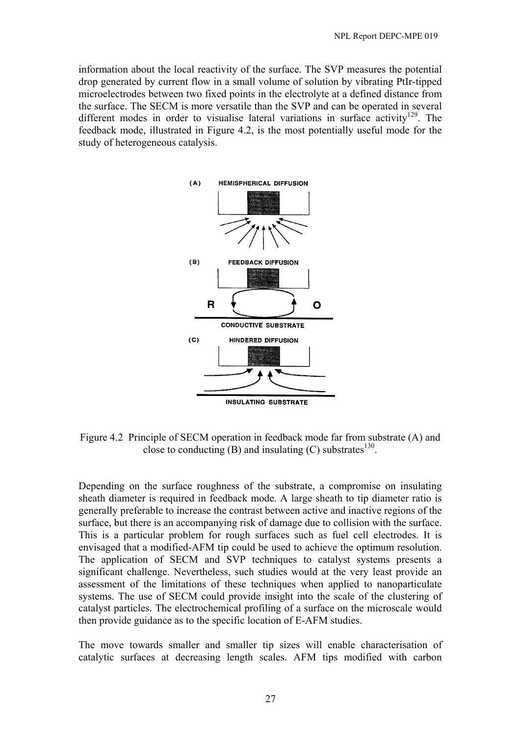information about the local reactivity of the surface. The SVP measures the potential drop generated by current flow in a small volume of solution by vibrating PtIr-tipped microelectrodes between two fixed points in the electrolyte at a defined distance from the surface. The SECM is more versatile than the SVP and can be operated in several different modes in order to visualise lateral variations in surface activity<sup>129</sup>. The feedback mode, illustrated in Figure 4.2, is the most potentially useful mode for the study of heterogeneous catalysis.



Figure 4.2 Principle of SECM operation in feedback mode far from substrate (A) and close to conducting (B) and insulating (C) substrates<sup>130</sup>.

Depending on the surface roughness of the substrate, a compromise on insulating sheath diameter is required in feedback mode. A large sheath to tip diameter ratio is generally preferable to increase the contrast between active and inactive regions of the surface, but there is an accompanying risk of damage due to collision with the surface. This is a particular problem for rough surfaces such as fuel cell electrodes. It is envisaged that a modified-AFM tip could be used to achieve the optimum resolution. The application of SECM and SVP techniques to catalyst systems presents a significant challenge. Nevertheless, such studies would at the very least provide an assessment of the limitations of these techniques when applied to nanoparticulate systems. The use of SECM could provide insight into the scale of the clustering of catalyst particles. The electrochemical profiling of a surface on the microscale would then provide guidance as to the specific location of E-AFM studies.

The move towards smaller and smaller tip sizes will enable characterisation of catalytic surfaces at decreasing length scales. AFM tips modified with carbon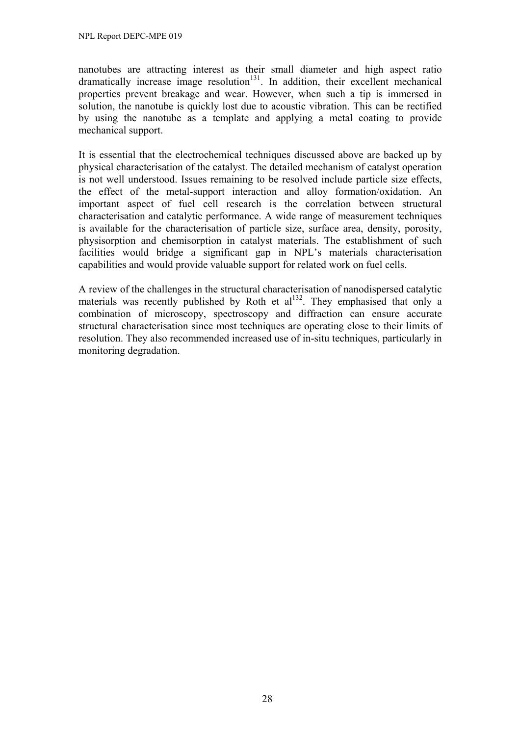nanotubes are attracting interest as their small diameter and high aspect ratio dramatically increase image resolution<sup>131</sup>. In addition, their excellent mechanical properties prevent breakage and wear. However, when such a tip is immersed in solution, the nanotube is quickly lost due to acoustic vibration. This can be rectified by using the nanotube as a template and applying a metal coating to provide mechanical support.

It is essential that the electrochemical techniques discussed above are backed up by physical characterisation of the catalyst. The detailed mechanism of catalyst operation is not well understood. Issues remaining to be resolved include particle size effects, the effect of the metal-support interaction and alloy formation/oxidation. An important aspect of fuel cell research is the correlation between structural characterisation and catalytic performance. A wide range of measurement techniques is available for the characterisation of particle size, surface area, density, porosity, physisorption and chemisorption in catalyst materials. The establishment of such facilities would bridge a significant gap in NPL's materials characterisation capabilities and would provide valuable support for related work on fuel cells.

A review of the challenges in the structural characterisation of nanodispersed catalytic materials was recently published by Roth et  $al<sup>132</sup>$ . They emphasised that only a combination of microscopy, spectroscopy and diffraction can ensure accurate structural characterisation since most techniques are operating close to their limits of resolution. They also recommended increased use of in-situ techniques, particularly in monitoring degradation.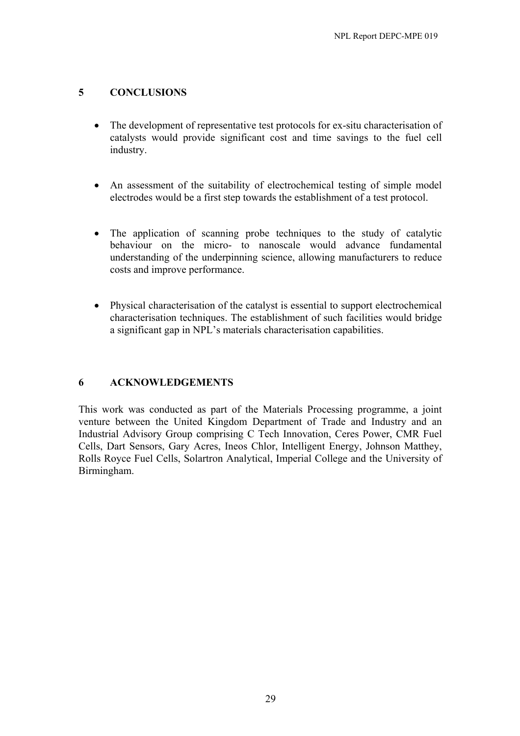# **5 CONCLUSIONS**

- The development of representative test protocols for ex-situ characterisation of catalysts would provide significant cost and time savings to the fuel cell industry.
- An assessment of the suitability of electrochemical testing of simple model electrodes would be a first step towards the establishment of a test protocol.
- The application of scanning probe techniques to the study of catalytic behaviour on the micro- to nanoscale would advance fundamental understanding of the underpinning science, allowing manufacturers to reduce costs and improve performance.
- Physical characterisation of the catalyst is essential to support electrochemical characterisation techniques. The establishment of such facilities would bridge a significant gap in NPL's materials characterisation capabilities.

### **6 ACKNOWLEDGEMENTS**

This work was conducted as part of the Materials Processing programme, a joint venture between the United Kingdom Department of Trade and Industry and an Industrial Advisory Group comprising C Tech Innovation, Ceres Power, CMR Fuel Cells, Dart Sensors, Gary Acres, Ineos Chlor, Intelligent Energy, Johnson Matthey, Rolls Royce Fuel Cells, Solartron Analytical, Imperial College and the University of Birmingham.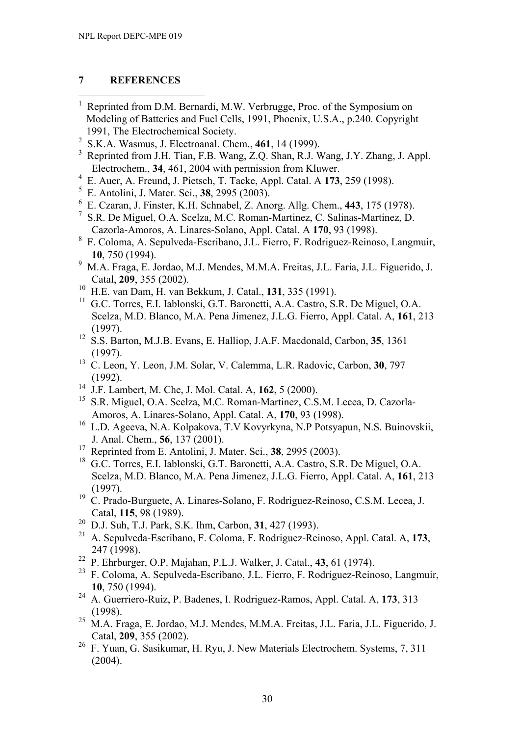## **7 REFERENCES**

- $\overline{a}$ 1 Reprinted from D.M. Bernardi, M.W. Verbrugge, Proc. of the Symposium on Modeling of Batteries and Fuel Cells, 1991, Phoenix, U.S.A., p.240. Copyright 1991, The Electrochemical Society.
- 2 S.K.A. Wasmus, J. Electroanal. Chem., **461**, 14 (1999).
- <sup>3</sup> Reprinted from J.H. Tian, F.B. Wang, Z.Q. Shan, R.J. Wang, J.Y. Zhang, J. Appl. Electrochem., **34**, 461, 2004 with permission from Kluwer.
- 4 E. Auer, A. Freund, J. Pietsch, T. Tacke, Appl. Catal. A **173**, 259 (1998).
- 5 E. Antolini, J. Mater. Sci., **38**, 2995 (2003).
- 6 E. Czaran, J. Finster, K.H. Schnabel, Z. Anorg. Allg. Chem., **443**, 175 (1978).
- 7 S.R. De Miguel, O.A. Scelza, M.C. Roman-Martinez, C. Salinas-Martinez, D. Cazorla-Amoros, A. Linares-Solano, Appl. Catal. A **170**, 93 (1998).
- 8 F. Coloma, A. Sepulveda-Escribano, J.L. Fierro, F. Rodriguez-Reinoso, Langmuir, **10**, 750 (1994).
- 9 M.A. Fraga, E. Jordao, M.J. Mendes, M.M.A. Freitas, J.L. Faria, J.L. Figuerido, J. Catal, **209**, 355 (2002).
- 10 H.E. van Dam, H. van Bekkum, J. Catal., **131**, 335 (1991).
- <sup>11</sup> G.C. Torres, E.I. Iablonski, G.T. Baronetti, A.A. Castro, S.R. De Miguel, O.A. Scelza, M.D. Blanco, M.A. Pena Jimenez, J.L.G. Fierro, Appl. Catal. A, **161**, 213 (1997).
- 12 S.S. Barton, M.J.B. Evans, E. Halliop, J.A.F. Macdonald, Carbon, **35**, 1361 (1997).
- 13 C. Leon, Y. Leon, J.M. Solar, V. Calemma, L.R. Radovic, Carbon, **30**, 797 (1992).
- 14 J.F. Lambert, M. Che, J. Mol. Catal. A, **162**, 5 (2000).
- <sup>15</sup> S.R. Miguel, O.A. Scelza, M.C. Roman-Martinez, C.S.M. Lecea, D. Cazorla-Amoros, A. Linares-Solano, Appl. Catal. A, **170**, 93 (1998).
- 16 L.D. Ageeva, N.A. Kolpakova, T.V Kovyrkyna, N.P Potsyapun, N.S. Buinovskii, J. Anal. Chem., **56**, 137 (2001).
- 17 Reprinted from E. Antolini, J. Mater. Sci., **38**, 2995 (2003).
- <sup>18</sup> G.C. Torres, E.I. Iablonski, G.T. Baronetti, A.A. Castro, S.R. De Miguel, O.A. Scelza, M.D. Blanco, M.A. Pena Jimenez, J.L.G. Fierro, Appl. Catal. A, **161**, 213 (1997).
- 19 C. Prado-Burguete, A. Linares-Solano, F. Rodriguez-Reinoso, C.S.M. Lecea, J. Catal, **115**, 98 (1989).
- 20 D.J. Suh, T.J. Park, S.K. Ihm, Carbon, **31**, 427 (1993).
- 21 A. Sepulveda-Escribano, F. Coloma, F. Rodriguez-Reinoso, Appl. Catal. A, **173**, 247 (1998).
- 22 P. Ehrburger, O.P. Majahan, P.L.J. Walker, J. Catal., **43**, 61 (1974).
- 23 F. Coloma, A. Sepulveda-Escribano, J.L. Fierro, F. Rodriguez-Reinoso, Langmuir, **10**, 750 (1994).
- 24 A. Guerriero-Ruiz, P. Badenes, I. Rodriguez-Ramos, Appl. Catal. A, **173**, 313 (1998).
- 25 M.A. Fraga, E. Jordao, M.J. Mendes, M.M.A. Freitas, J.L. Faria, J.L. Figuerido, J. Catal, **209**, 355 (2002).
- <sup>26</sup> F. Yuan, G. Sasikumar, H. Ryu, J. New Materials Electrochem. Systems, 7, 311 (2004).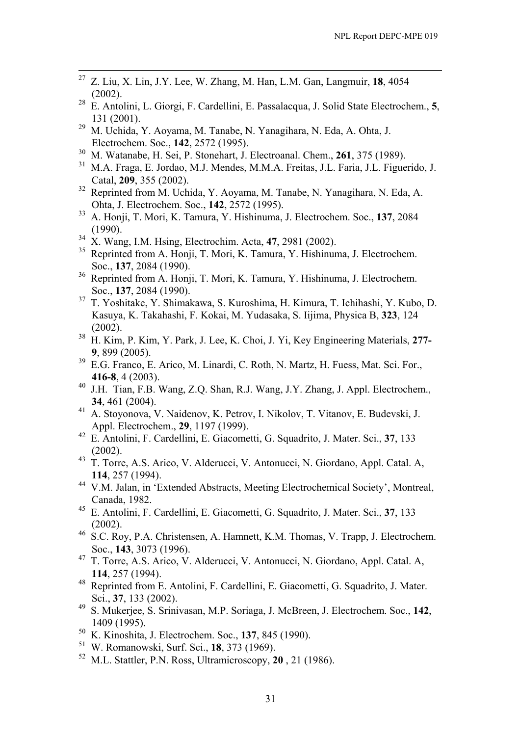- 27 Z. Liu, X. Lin, J.Y. Lee, W. Zhang, M. Han, L.M. Gan, Langmuir, **18**, 4054  $(2002)$ .
- 28 E. Antolini, L. Giorgi, F. Cardellini, E. Passalacqua, J. Solid State Electrochem., **5**,  $\frac{131}{29}$  M Uebide N
- 29 M. Uchida, Y. Aoyama, M. Tanabe, N. Yanagihara, N. Eda, A. Ohta, J. Electrochem. Soc., **142**, 2572 (1995).<br><sup>30</sup> M. Wetenska, H. Sei, B. Stanskart, J.
- 30 M. Watanabe, H. Sei, P. Stonehart, J. Electroanal. Chem., **261**, 375 (1989).
- 31 M.A. Fraga, E. Jordao, M.J. Mendes, M.M.A. Freitas, J.L. Faria, J.L. Figuerido, J. Catal, **209**, 355 (2002).
- 32 Reprinted from M. Uchida, Y. Aoyama, M. Tanabe, N. Yanagihara, N. Eda, A. Ohta, J. Electrochem. Soc., **142**, 2572 (1995).<br><sup>33</sup> A. Honii T. Mori K. Tamura V. Hishinuma
- 33 A. Honji, T. Mori, K. Tamura, Y. Hishinuma, J. Electrochem. Soc., **137**, 2084 (1990).
- 34 X. Wang, I.M. Hsing, Electrochim. Acta, **47**, 2981 (2002).
- <sup>35</sup> Reprinted from A. Honji, T. Mori, K. Tamura, Y. Hishinuma, J. Electrochem. Soc., **137**, 2084 (1990).
- <sup>36</sup> Reprinted from A. Honji, T. Mori, K. Tamura, Y. Hishinuma, J. Electrochem. Soc., **137**, 2084 (1990).
- 37 T. Yoshitake, Y. Shimakawa, S. Kuroshima, H. Kimura, T. Ichihashi, Y. Kubo, D. Kasuya, K. Takahashi, F. Kokai, M. Yudasaka, S. Iijima, Physica B, **323**, 124 (2002).
- 38 H. Kim, P. Kim, Y. Park, J. Lee, K. Choi, J. Yi, Key Engineering Materials, **277- 9**, 899 (2005).
- 39 E.G. Franco, E. Arico, M. Linardi, C. Roth, N. Martz, H. Fuess, Mat. Sci. For., **416-8**, 4 (2003).
- 40 J.H. Tian, F.B. Wang, Z.Q. Shan, R.J. Wang, J.Y. Zhang, J. Appl. Electrochem., **34**, 461 (2004).
- 41 A. Stoyonova, V. Naidenov, K. Petrov, I. Nikolov, T. Vitanov, E. Budevski, J. Appl. Electrochem., **29**, 1197 (1999).
- 42 E. Antolini, F. Cardellini, E. Giacometti, G. Squadrito, J. Mater. Sci., **37**, 133 (2002).
- 43 T. Torre, A.S. Arico, V. Alderucci, V. Antonucci, N. Giordano, Appl. Catal. A, **114**, 257 (1994).
- 44 V.M. Jalan, in 'Extended Abstracts, Meeting Electrochemical Society', Montreal, Canada, 1982.
- 45 E. Antolini, F. Cardellini, E. Giacometti, G. Squadrito, J. Mater. Sci., **37**, 133 (2002).
- 46 S.C. Roy, P.A. Christensen, A. Hamnett, K.M. Thomas, V. Trapp, J. Electrochem. Soc., **143**, 3073 (1996).
- 47 T. Torre, A.S. Arico, V. Alderucci, V. Antonucci, N. Giordano, Appl. Catal. A, **114**, 257 (1994).
- 48 Reprinted from E. Antolini, F. Cardellini, E. Giacometti, G. Squadrito, J. Mater. Sci., **37**, 133 (2002).
- 49 S. Mukerjee, S. Srinivasan, M.P. Soriaga, J. McBreen, J. Electrochem. Soc., **142**,  $1409$  (1995).<br><sup>50</sup> *V K* incobite
- 50 K. Kinoshita, J. Electrochem. Soc., **137**, 845 (1990).
- 51 W. Romanowski, Surf. Sci., **18**, 373 (1969).
- 52 M.L. Stattler, P.N. Ross, Ultramicroscopy, **20** , 21 (1986).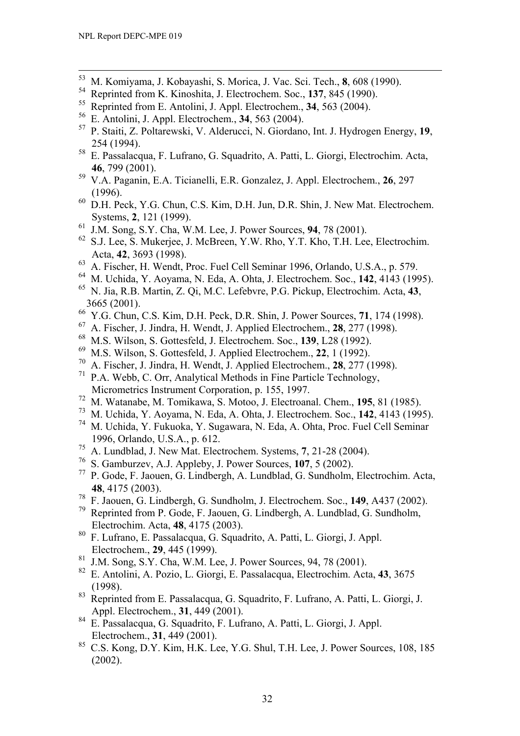- 53 M. Komiyama, J. Kobayashi, S. Morica, J. Vac. Sci. Tech., **8**, 608 (1990).
- <sup>54</sup> Reprinted from K. Kinoshita, J. Electrochem. Soc., **137**, 845 (1990).<br><sup>55</sup> Reprinted from E. Antelini, J. Annl. Electrochem. **34, 563 (2004)**.
- <sup>55</sup> Reprinted from E. Antolini, J. Appl. Electrochem., **34**, 563 (2004).<br><sup>56</sup> E. Antolini, J. Appl. Electrochem. **34**, 563 (2004).
- 56 E. Antolini, J. Appl. Electrochem., **34**, 563 (2004).
- 57 P. Staiti, Z. Poltarewski, V. Alderucci, N. Giordano, Int. J. Hydrogen Energy, **19**,  $254$  (1994).
- 58 E. Passalacqua, F. Lufrano, G. Squadrito, A. Patti, L. Giorgi, Electrochim. Acta, 46, 799 (2001).
- 59 V.A. Paganin, E.A. Ticianelli, E.R. Gonzalez, J. Appl. Electrochem., **26**, 297  $(1996)$ .<br><sup>60</sup> D<sub>H</sub> R<sub>2</sub>
- D.H. Peck, Y.G. Chun, C.S. Kim, D.H. Jun, D.R. Shin, J. New Mat. Electrochem. Systems, **2**, 121 (1999).
- 61 J.M. Song, S.Y. Cha, W.M. Lee, J. Power Sources, **94**, 78 (2001).
- 62 S.J. Lee, S. Mukerjee, J. McBreen, Y.W. Rho, Y.T. Kho, T.H. Lee, Electrochim. Acta, **42**, 3693 (1998).
- $^{63}$  A. Fischer, H. Wendt, Proc. Fuel Cell Seminar 1996, Orlando, U.S.A., p. 579.
- 64 M. Uchida, Y. Aoyama, N. Eda, A. Ohta, J. Electrochem. Soc., **142**, 4143 (1995).
- 65 N. Jia, R.B. Martin, Z. Qi, M.C. Lefebvre, P.G. Pickup, Electrochim. Acta, **43**, 3665 (2001).
- 66 Y.G. Chun, C.S. Kim, D.H. Peck, D.R. Shin, J. Power Sources, **71**, 174 (1998).
- 67 A. Fischer, J. Jindra, H. Wendt, J. Applied Electrochem., **28**, 277 (1998).
- 68 M.S. Wilson, S. Gottesfeld, J. Electrochem. Soc., **139**, L28 (1992).
- 69 M.S. Wilson, S. Gottesfeld, J. Applied Electrochem., **22**, 1 (1992).
- 70 A. Fischer, J. Jindra, H. Wendt, J. Applied Electrochem., **28**, 277 (1998).
- 71 P.A. Webb, C. Orr, Analytical Methods in Fine Particle Technology, Micrometrics Instrument Corporation, p. 155, 1997.
- 72 M. Watanabe, M. Tomikawa, S. Motoo, J. Electroanal. Chem., **195**, 81 (1985).
- 73 M. Uchida, Y. Aoyama, N. Eda, A. Ohta, J. Electrochem. Soc., **142**, 4143 (1995).
- 74 M. Uchida, Y. Fukuoka, Y. Sugawara, N. Eda, A. Ohta, Proc. Fuel Cell Seminar 1996, Orlando, U.S.A., p. 612.
- 75 A. Lundblad, J. New Mat. Electrochem. Systems, **7**, 21-28 (2004).
- 76 S. Gamburzev, A.J. Appleby, J. Power Sources, **107**, 5 (2002).
- 77 P. Gode, F. Jaouen, G. Lindbergh, A. Lundblad, G. Sundholm, Electrochim. Acta, **48**, 4175 (2003).
- 78 F. Jaouen, G. Lindbergh, G. Sundholm, J. Electrochem. Soc., **149**, A437 (2002).
- 79 Reprinted from P. Gode, F. Jaouen, G. Lindbergh, A. Lundblad, G. Sundholm, Electrochim. Acta, **48**, 4175 (2003).
- 80 F. Lufrano, E. Passalacqua, G. Squadrito, A. Patti, L. Giorgi, J. Appl. Electrochem., **29**, 445 (1999).
- $81$  J.M. Song, S.Y. Cha, W.M. Lee, J. Power Sources, 94, 78 (2001).
- 82 E. Antolini, A. Pozio, L. Giorgi, E. Passalacqua, Electrochim. Acta, **43**, 3675 (1998).
- 83 Reprinted from E. Passalacqua, G. Squadrito, F. Lufrano, A. Patti, L. Giorgi, J. Appl. Electrochem., **31**, 449 (2001).
- 84 E. Passalacqua, G. Squadrito, F. Lufrano, A. Patti, L. Giorgi, J. Appl. Electrochem., **31**, 449 (2001).<br><sup>85</sup> C.S. Kong, D.Y. Kim, H.K. L.
- 85 C.S. Kong, D.Y. Kim, H.K. Lee, Y.G. Shul, T.H. Lee, J. Power Sources, 108, 185 (2002).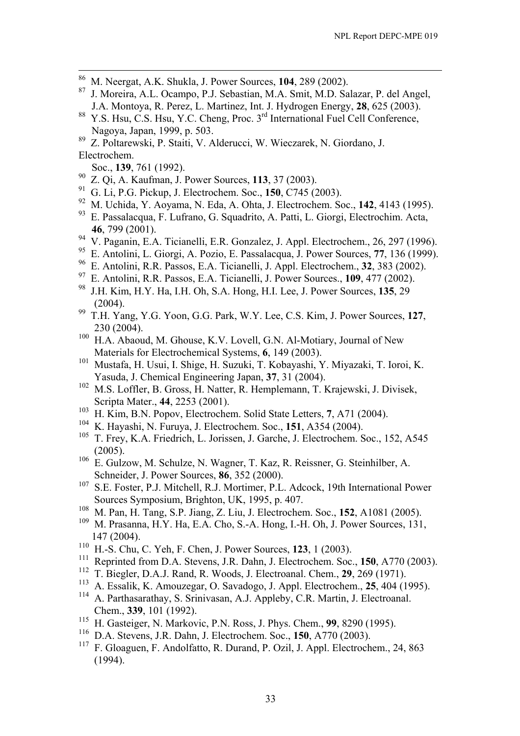- 86 M. Neergat, A.K. Shukla, J. Power Sources, **104**, 289 (2002).
- 87 J. Moreira, A.L. Ocampo, P.J. Sebastian, M.A. Smit, M.D. Salazar, P. del Angel, J.A. Montoya, R. Perez, L. Martinez, Int. J. Hydrogen Energy, **28**, 625 (2003).
- 88 Y.S. Hsu, C.S. Hsu, Y.C. Cheng, Proc. 3<sup>rd</sup> International Fuel Cell Conference, Nagoya, Japan, 1999, p. 503.<br><sup>89</sup> Z Poltarewski, P. Staiti V. A.
- 89 Z. Poltarewski, P. Staiti, V. Alderucci, W. Wieczarek, N. Giordano, J. Electrochem.
- Soc., **139**, 761 (1992).
- 90 Z. Qi, A. Kaufman, J. Power Sources, **113**, 37 (2003).
- 91 G. Li, P.G. Pickup, J. Electrochem. Soc., **150**, C745 (2003).
- 92 M. Uchida, Y. Aoyama, N. Eda, A. Ohta, J. Electrochem. Soc., **142**, 4143 (1995).
- 93 E. Passalacqua, F. Lufrano, G. Squadrito, A. Patti, L. Giorgi, Electrochim. Acta, **46**, 799 (2001).
- 94 V. Paganin, E.A. Ticianelli, E.R. Gonzalez, J. Appl. Electrochem., 26, 297 (1996).
- 95 E. Antolini, L. Giorgi, A. Pozio, E. Passalacqua, J. Power Sources, **77**, 136 (1999).
- 96 E. Antolini, R.R. Passos, E.A. Ticianelli, J. Appl. Electrochem., **32**, 383 (2002).
- 97 E. Antolini, R.R. Passos, E.A. Ticianelli, J. Power Sources., **109**, 477 (2002).
- 98 J.H. Kim, H.Y. Ha, I.H. Oh, S.A. Hong, H.I. Lee, J. Power Sources, **135**, 29 (2004).
- 99 T.H. Yang, Y.G. Yoon, G.G. Park, W.Y. Lee, C.S. Kim, J. Power Sources, **127**, 230 (2004).
- 100 H.A. Abaoud, M. Ghouse, K.V. Lovell, G.N. Al-Motiary, Journal of New Materials for Electrochemical Systems, **6**, 149 (2003).
- 101 Mustafa, H. Usui, I. Shige, H. Suzuki, T. Kobayashi, Y. Miyazaki, T. Ioroi, K. Yasuda, J. Chemical Engineering Japan, 37, 31 (2004).<br><sup>102</sup> M.S. Loffler, B. Gross, H. Natter, B. Hemplemann, T. k
- M.S. Loffler, B. Gross, H. Natter, R. Hemplemann, T. Krajewski, J. Divisek, Scripta Mater., **44**, 2253 (2001).
- 103 H. Kim, B.N. Popov, Electrochem. Solid State Letters, **7**, A71 (2004).
- <sup>104</sup> K. Hayashi, N. Furuya, J. Electrochem. Soc., **151**, A354 (2004).
- T. Frey, K.A. Friedrich, L. Jorissen, J. Garche, J. Electrochem. Soc., 152, A545  $(2005)$ .
- 106 E. Gulzow, M. Schulze, N. Wagner, T. Kaz, R. Reissner, G. Steinhilber, A. Schneider, J. Power Sources, **86**, 352 (2000).<br><sup>107</sup> S.E. Foster, B.J. Mitchell, B.J. Martimar, B.J.
- S.E. Foster, P.J. Mitchell, R.J. Mortimer, P.L. Adcock, 19th International Power Sources Symposium, Brighton, UK, 1995, p. 407.
- 108 M. Pan, H. Tang, S.P. Jiang, Z. Liu, J. Electrochem. Soc., **152**, A1081 (2005).
- 109 M. Prasanna, H.Y. Ha, E.A. Cho, S.-A. Hong, I.-H. Oh, J. Power Sources, 131, 147 (2004).
- 110 H.-S. Chu, C. Yeh, F. Chen, J. Power Sources, **123**, 1 (2003).
- 111 Reprinted from D.A. Stevens, J.R. Dahn, J. Electrochem. Soc., **150**, A770 (2003).
- <sup>112</sup> T. Biegler, D.A.J. Rand, R. Woods, J. Electroanal. Chem., **29**, 269 (1971).
- 113 A. Essalik, K. Amouzegar, O. Savadogo, J. Appl. Electrochem., **25**, 404 (1995).
- <sup>114</sup> A. Parthasarathay, S. Srinivasan, A.J. Appleby, C.R. Martin, J. Electroanal. Chem., **339**, 101 (1992).
- 115 H. Gasteiger, N. Markovic, P.N. Ross, J. Phys. Chem., **99**, 8290 (1995).
- <sup>116</sup> D.A. Stevens, J.R. Dahn, J. Electrochem. Soc., **150**, A770 (2003).
- 117 F. Gloaguen, F. Andolfatto, R. Durand, P. Ozil, J. Appl. Electrochem., 24, 863 (1994).